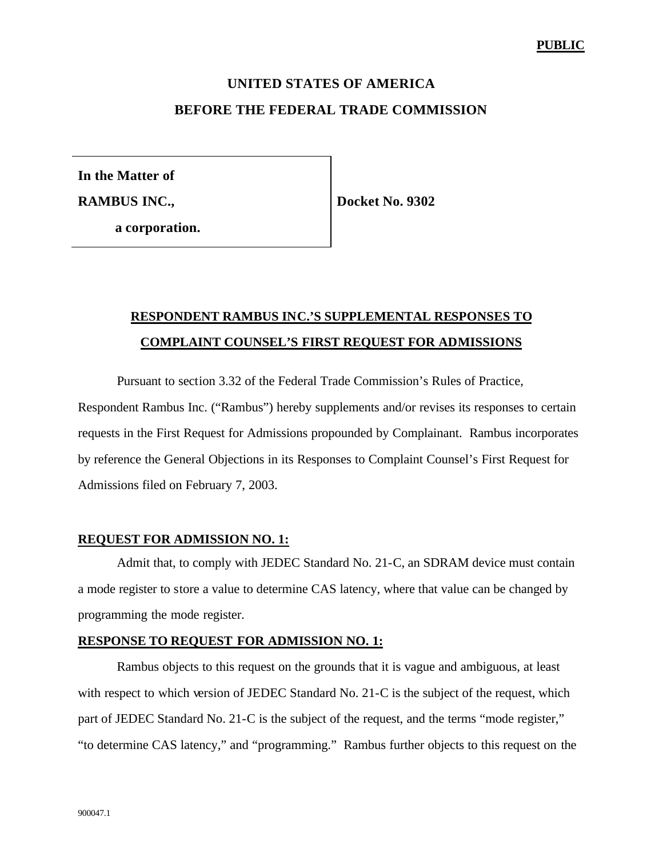# **UNITED STATES OF AMERICA BEFORE THE FEDERAL TRADE COMMISSION**

**In the Matter of**

**RAMBUS INC.,**

**Docket No. 9302**

**a corporation.**

# **RESPONDENT RAMBUS INC.'S SUPPLEMENTAL RESPONSES TO COMPLAINT COUNSEL'S FIRST REQUEST FOR ADMISSIONS**

Pursuant to section 3.32 of the Federal Trade Commission's Rules of Practice,

Respondent Rambus Inc. ("Rambus") hereby supplements and/or revises its responses to certain requests in the First Request for Admissions propounded by Complainant. Rambus incorporates by reference the General Objections in its Responses to Complaint Counsel's First Request for Admissions filed on February 7, 2003.

## **REQUEST FOR ADMISSION NO. 1:**

Admit that, to comply with JEDEC Standard No. 21-C, an SDRAM device must contain a mode register to store a value to determine CAS latency, where that value can be changed by programming the mode register.

## **RESPONSE TO REQUEST FOR ADMISSION NO. 1:**

Rambus objects to this request on the grounds that it is vague and ambiguous, at least with respect to which version of JEDEC Standard No. 21-C is the subject of the request, which part of JEDEC Standard No. 21-C is the subject of the request, and the terms "mode register," "to determine CAS latency," and "programming." Rambus further objects to this request on the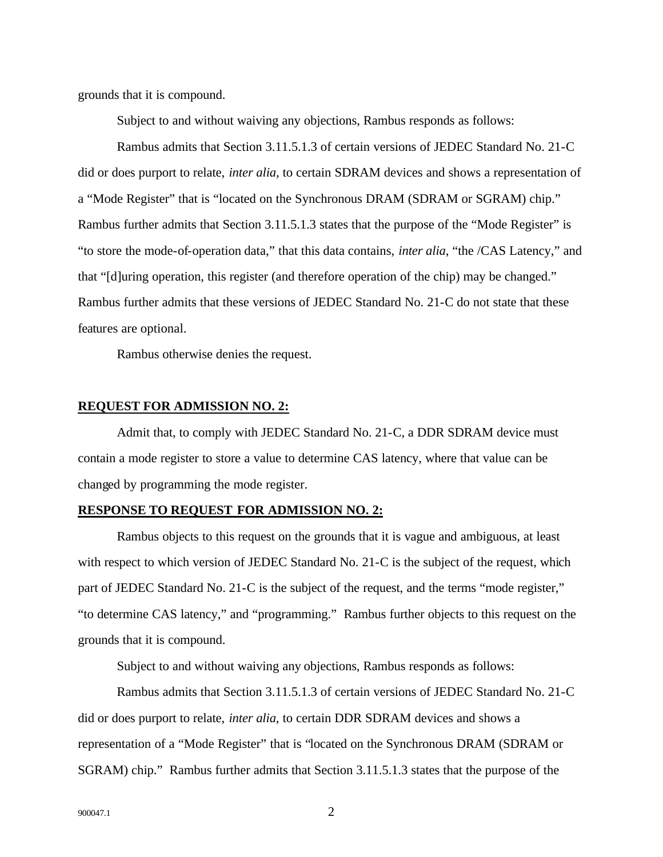grounds that it is compound.

Subject to and without waiving any objections, Rambus responds as follows:

Rambus admits that Section 3.11.5.1.3 of certain versions of JEDEC Standard No. 21-C did or does purport to relate, *inter alia,* to certain SDRAM devices and shows a representation of a "Mode Register" that is "located on the Synchronous DRAM (SDRAM or SGRAM) chip." Rambus further admits that Section 3.11.5.1.3 states that the purpose of the "Mode Register" is "to store the mode-of-operation data," that this data contains, *inter alia*, "the /CAS Latency," and that "[d]uring operation, this register (and therefore operation of the chip) may be changed." Rambus further admits that these versions of JEDEC Standard No. 21-C do not state that these features are optional.

Rambus otherwise denies the request.

## **REQUEST FOR ADMISSION NO. 2:**

Admit that, to comply with JEDEC Standard No. 21-C, a DDR SDRAM device must contain a mode register to store a value to determine CAS latency, where that value can be changed by programming the mode register.

#### **RESPONSE TO REQUEST FOR ADMISSION NO. 2:**

Rambus objects to this request on the grounds that it is vague and ambiguous, at least with respect to which version of JEDEC Standard No. 21-C is the subject of the request, which part of JEDEC Standard No. 21-C is the subject of the request, and the terms "mode register," "to determine CAS latency," and "programming." Rambus further objects to this request on the grounds that it is compound.

Subject to and without waiving any objections, Rambus responds as follows:

Rambus admits that Section 3.11.5.1.3 of certain versions of JEDEC Standard No. 21-C did or does purport to relate, *inter alia*, to certain DDR SDRAM devices and shows a representation of a "Mode Register" that is "located on the Synchronous DRAM (SDRAM or SGRAM) chip." Rambus further admits that Section 3.11.5.1.3 states that the purpose of the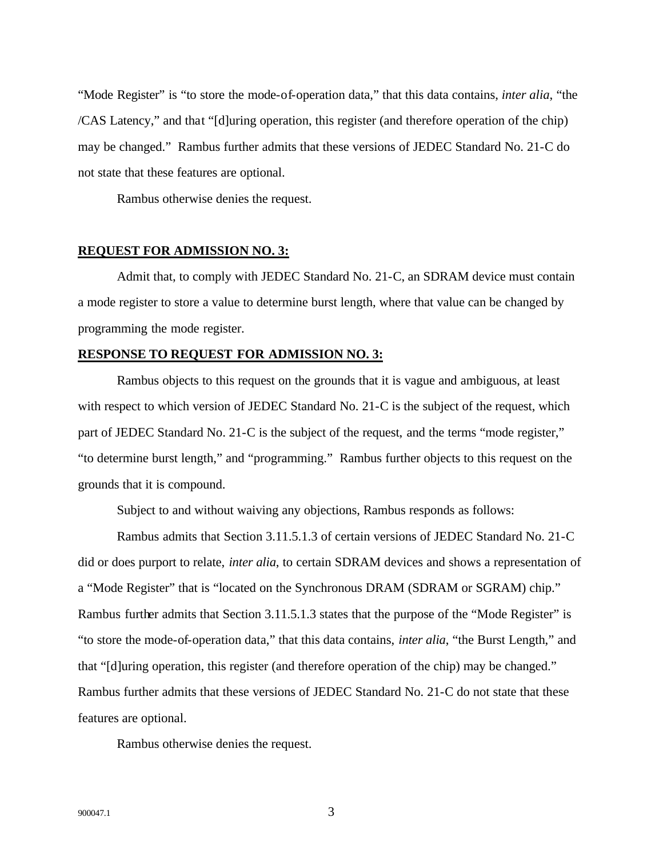"Mode Register" is "to store the mode-of-operation data," that this data contains, *inter alia*, "the /CAS Latency," and that "[d]uring operation, this register (and therefore operation of the chip) may be changed." Rambus further admits that these versions of JEDEC Standard No. 21-C do not state that these features are optional.

Rambus otherwise denies the request.

## **REQUEST FOR ADMISSION NO. 3:**

Admit that, to comply with JEDEC Standard No. 21-C, an SDRAM device must contain a mode register to store a value to determine burst length, where that value can be changed by programming the mode register.

## **RESPONSE TO REQUEST FOR ADMISSION NO. 3:**

Rambus objects to this request on the grounds that it is vague and ambiguous, at least with respect to which version of JEDEC Standard No. 21-C is the subject of the request, which part of JEDEC Standard No. 21-C is the subject of the request, and the terms "mode register," "to determine burst length," and "programming." Rambus further objects to this request on the grounds that it is compound.

Subject to and without waiving any objections, Rambus responds as follows:

Rambus admits that Section 3.11.5.1.3 of certain versions of JEDEC Standard No. 21-C did or does purport to relate, *inter alia*, to certain SDRAM devices and shows a representation of a "Mode Register" that is "located on the Synchronous DRAM (SDRAM or SGRAM) chip." Rambus further admits that Section 3.11.5.1.3 states that the purpose of the "Mode Register" is "to store the mode-of-operation data," that this data contains, *inter alia*, "the Burst Length," and that "[d]uring operation, this register (and therefore operation of the chip) may be changed." Rambus further admits that these versions of JEDEC Standard No. 21-C do not state that these features are optional.

Rambus otherwise denies the request.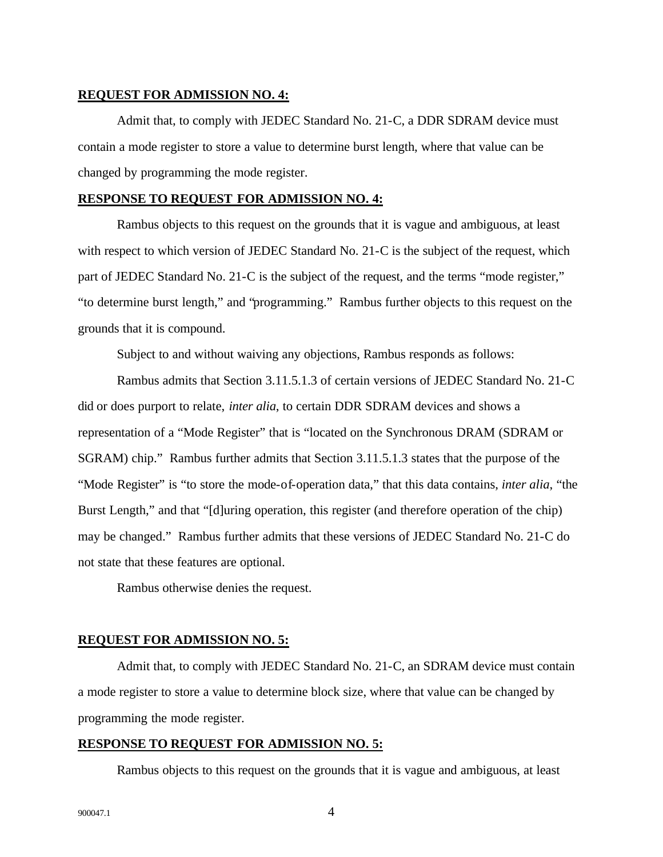## **REQUEST FOR ADMISSION NO. 4:**

Admit that, to comply with JEDEC Standard No. 21-C, a DDR SDRAM device must contain a mode register to store a value to determine burst length, where that value can be changed by programming the mode register.

## **RESPONSE TO REQUEST FOR ADMISSION NO. 4:**

Rambus objects to this request on the grounds that it is vague and ambiguous, at least with respect to which version of JEDEC Standard No. 21-C is the subject of the request, which part of JEDEC Standard No. 21-C is the subject of the request, and the terms "mode register," "to determine burst length," and "programming." Rambus further objects to this request on the grounds that it is compound.

Subject to and without waiving any objections, Rambus responds as follows:

Rambus admits that Section 3.11.5.1.3 of certain versions of JEDEC Standard No. 21-C did or does purport to relate, *inter alia*, to certain DDR SDRAM devices and shows a representation of a "Mode Register" that is "located on the Synchronous DRAM (SDRAM or SGRAM) chip." Rambus further admits that Section 3.11.5.1.3 states that the purpose of the "Mode Register" is "to store the mode-of-operation data," that this data contains, *inter alia*, "the Burst Length," and that "[d]uring operation, this register (and therefore operation of the chip) may be changed." Rambus further admits that these versions of JEDEC Standard No. 21-C do not state that these features are optional.

Rambus otherwise denies the request.

#### **REQUEST FOR ADMISSION NO. 5:**

Admit that, to comply with JEDEC Standard No. 21-C, an SDRAM device must contain a mode register to store a value to determine block size, where that value can be changed by programming the mode register.

## **RESPONSE TO REQUEST FOR ADMISSION NO. 5:**

Rambus objects to this request on the grounds that it is vague and ambiguous, at least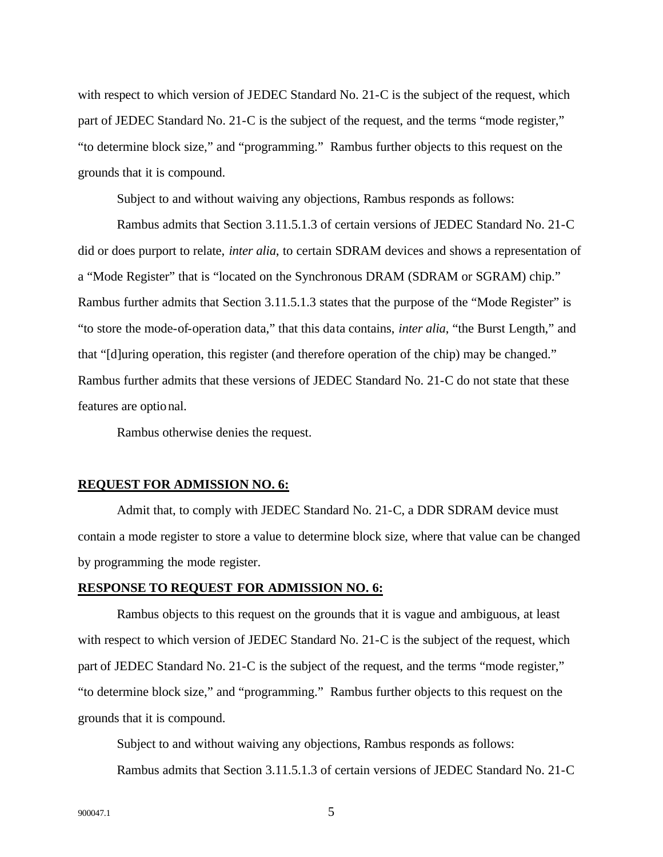with respect to which version of JEDEC Standard No. 21-C is the subject of the request, which part of JEDEC Standard No. 21-C is the subject of the request, and the terms "mode register," "to determine block size," and "programming." Rambus further objects to this request on the grounds that it is compound.

Subject to and without waiving any objections, Rambus responds as follows:

Rambus admits that Section 3.11.5.1.3 of certain versions of JEDEC Standard No. 21-C did or does purport to relate, *inter alia*, to certain SDRAM devices and shows a representation of a "Mode Register" that is "located on the Synchronous DRAM (SDRAM or SGRAM) chip." Rambus further admits that Section 3.11.5.1.3 states that the purpose of the "Mode Register" is "to store the mode-of-operation data," that this data contains, *inter alia*, "the Burst Length," and that "[d]uring operation, this register (and therefore operation of the chip) may be changed." Rambus further admits that these versions of JEDEC Standard No. 21-C do not state that these features are optional.

Rambus otherwise denies the request.

## **REQUEST FOR ADMISSION NO. 6:**

Admit that, to comply with JEDEC Standard No. 21-C, a DDR SDRAM device must contain a mode register to store a value to determine block size, where that value can be changed by programming the mode register.

## **RESPONSE TO REQUEST FOR ADMISSION NO. 6:**

Rambus objects to this request on the grounds that it is vague and ambiguous, at least with respect to which version of JEDEC Standard No. 21-C is the subject of the request, which part of JEDEC Standard No. 21-C is the subject of the request, and the terms "mode register," "to determine block size," and "programming." Rambus further objects to this request on the grounds that it is compound.

Subject to and without waiving any objections, Rambus responds as follows: Rambus admits that Section 3.11.5.1.3 of certain versions of JEDEC Standard No. 21-C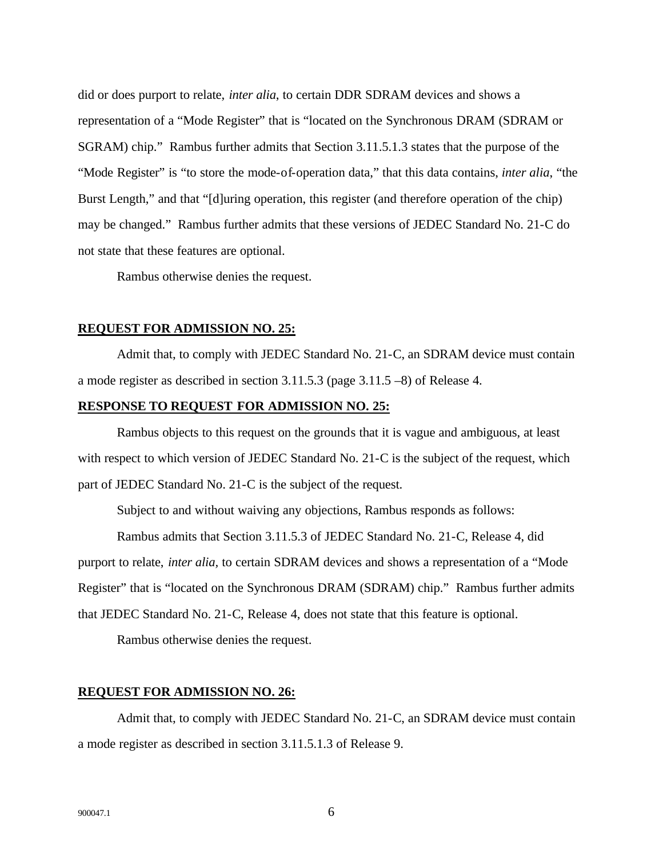did or does purport to relate, *inter alia*, to certain DDR SDRAM devices and shows a representation of a "Mode Register" that is "located on the Synchronous DRAM (SDRAM or SGRAM) chip." Rambus further admits that Section 3.11.5.1.3 states that the purpose of the "Mode Register" is "to store the mode-of-operation data," that this data contains, *inter alia*, "the Burst Length," and that "[d]uring operation, this register (and therefore operation of the chip) may be changed." Rambus further admits that these versions of JEDEC Standard No. 21-C do not state that these features are optional.

Rambus otherwise denies the request.

#### **REQUEST FOR ADMISSION NO. 25:**

Admit that, to comply with JEDEC Standard No. 21-C, an SDRAM device must contain a mode register as described in section 3.11.5.3 (page 3.11.5 –8) of Release 4.

### **RESPONSE TO REQUEST FOR ADMISSION NO. 25:**

Rambus objects to this request on the grounds that it is vague and ambiguous, at least with respect to which version of JEDEC Standard No. 21-C is the subject of the request, which part of JEDEC Standard No. 21-C is the subject of the request.

Subject to and without waiving any objections, Rambus responds as follows:

Rambus admits that Section 3.11.5.3 of JEDEC Standard No. 21-C, Release 4, did purport to relate, *inter alia,* to certain SDRAM devices and shows a representation of a "Mode Register" that is "located on the Synchronous DRAM (SDRAM) chip." Rambus further admits that JEDEC Standard No. 21-C, Release 4, does not state that this feature is optional.

Rambus otherwise denies the request.

## **REQUEST FOR ADMISSION NO. 26:**

Admit that, to comply with JEDEC Standard No. 21-C, an SDRAM device must contain a mode register as described in section 3.11.5.1.3 of Release 9.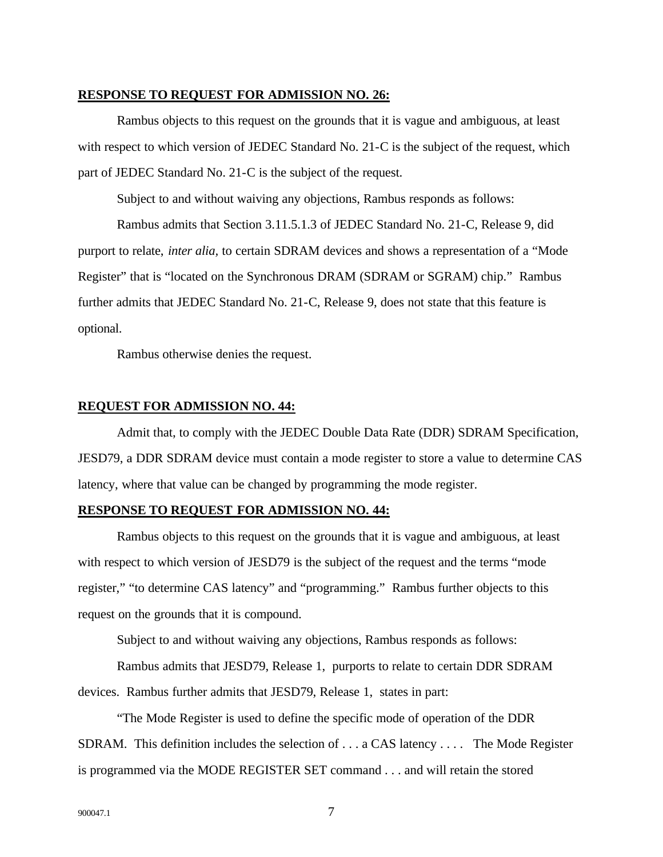## **RESPONSE TO REQUEST FOR ADMISSION NO. 26:**

Rambus objects to this request on the grounds that it is vague and ambiguous, at least with respect to which version of JEDEC Standard No. 21-C is the subject of the request, which part of JEDEC Standard No. 21-C is the subject of the request.

Subject to and without waiving any objections, Rambus responds as follows:

Rambus admits that Section 3.11.5.1.3 of JEDEC Standard No. 21-C, Release 9, did purport to relate, *inter alia,* to certain SDRAM devices and shows a representation of a "Mode Register" that is "located on the Synchronous DRAM (SDRAM or SGRAM) chip." Rambus further admits that JEDEC Standard No. 21-C, Release 9, does not state that this feature is optional.

Rambus otherwise denies the request.

## **REQUEST FOR ADMISSION NO. 44:**

Admit that, to comply with the JEDEC Double Data Rate (DDR) SDRAM Specification, JESD79, a DDR SDRAM device must contain a mode register to store a value to determine CAS latency, where that value can be changed by programming the mode register.

#### **RESPONSE TO REQUEST FOR ADMISSION NO. 44:**

Rambus objects to this request on the grounds that it is vague and ambiguous, at least with respect to which version of JESD79 is the subject of the request and the terms "mode register," "to determine CAS latency" and "programming." Rambus further objects to this request on the grounds that it is compound.

Subject to and without waiving any objections, Rambus responds as follows:

Rambus admits that JESD79, Release 1, purports to relate to certain DDR SDRAM devices. Rambus further admits that JESD79, Release 1, states in part:

"The Mode Register is used to define the specific mode of operation of the DDR SDRAM. This definition includes the selection of . . . a CAS latency . . . . The Mode Register is programmed via the MODE REGISTER SET command . . . and will retain the stored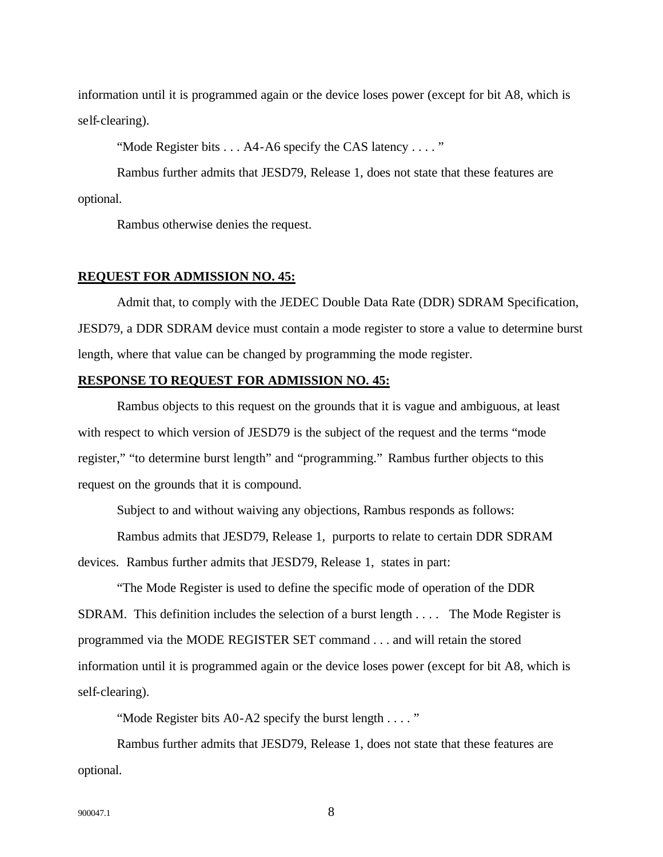information until it is programmed again or the device loses power (except for bit A8, which is self-clearing).

"Mode Register bits . . . A4-A6 specify the CAS latency . . . . "

Rambus further admits that JESD79, Release 1, does not state that these features are optional.

Rambus otherwise denies the request.

#### **REQUEST FOR ADMISSION NO. 45:**

Admit that, to comply with the JEDEC Double Data Rate (DDR) SDRAM Specification, JESD79, a DDR SDRAM device must contain a mode register to store a value to determine burst length, where that value can be changed by programming the mode register.

## **RESPONSE TO REQUEST FOR ADMISSION NO. 45:**

Rambus objects to this request on the grounds that it is vague and ambiguous, at least with respect to which version of JESD79 is the subject of the request and the terms "mode register," "to determine burst length" and "programming." Rambus further objects to this request on the grounds that it is compound.

Subject to and without waiving any objections, Rambus responds as follows:

Rambus admits that JESD79, Release 1, purports to relate to certain DDR SDRAM devices. Rambus further admits that JESD79, Release 1, states in part:

"The Mode Register is used to define the specific mode of operation of the DDR SDRAM. This definition includes the selection of a burst length . . . . The Mode Register is programmed via the MODE REGISTER SET command . . . and will retain the stored information until it is programmed again or the device loses power (except for bit A8, which is self-clearing).

"Mode Register bits A0-A2 specify the burst length . . . . "

Rambus further admits that JESD79, Release 1, does not state that these features are optional.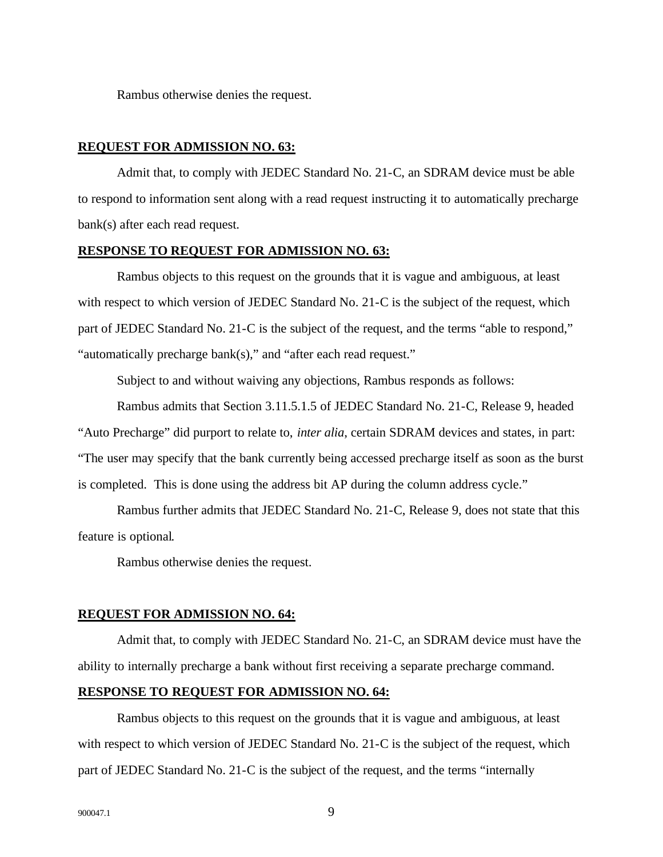Rambus otherwise denies the request.

## **REQUEST FOR ADMISSION NO. 63:**

Admit that, to comply with JEDEC Standard No. 21-C, an SDRAM device must be able to respond to information sent along with a read request instructing it to automatically precharge bank(s) after each read request.

## **RESPONSE TO REQUEST FOR ADMISSION NO. 63:**

Rambus objects to this request on the grounds that it is vague and ambiguous, at least with respect to which version of JEDEC Standard No. 21-C is the subject of the request, which part of JEDEC Standard No. 21-C is the subject of the request, and the terms "able to respond," "automatically precharge bank(s)," and "after each read request."

Subject to and without waiving any objections, Rambus responds as follows:

Rambus admits that Section 3.11.5.1.5 of JEDEC Standard No. 21-C, Release 9, headed "Auto Precharge" did purport to relate to, *inter alia*, certain SDRAM devices and states, in part: "The user may specify that the bank currently being accessed precharge itself as soon as the burst is completed. This is done using the address bit AP during the column address cycle."

Rambus further admits that JEDEC Standard No. 21-C, Release 9, does not state that this feature is optional.

Rambus otherwise denies the request.

#### **REQUEST FOR ADMISSION NO. 64:**

Admit that, to comply with JEDEC Standard No. 21-C, an SDRAM device must have the ability to internally precharge a bank without first receiving a separate precharge command.

#### **RESPONSE TO REQUEST FOR ADMISSION NO. 64:**

Rambus objects to this request on the grounds that it is vague and ambiguous, at least with respect to which version of JEDEC Standard No. 21-C is the subject of the request, which part of JEDEC Standard No. 21-C is the subject of the request, and the terms "internally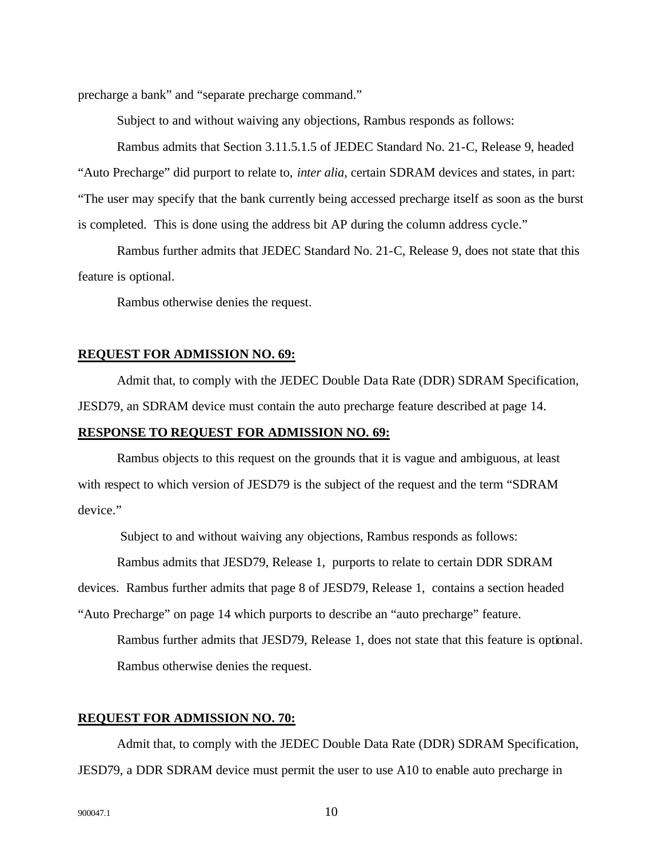precharge a bank" and "separate precharge command."

Subject to and without waiving any objections, Rambus responds as follows:

Rambus admits that Section 3.11.5.1.5 of JEDEC Standard No. 21-C, Release 9, headed "Auto Precharge" did purport to relate to, *inter alia*, certain SDRAM devices and states, in part: "The user may specify that the bank currently being accessed precharge itself as soon as the burst is completed. This is done using the address bit AP during the column address cycle."

Rambus further admits that JEDEC Standard No. 21-C, Release 9, does not state that this feature is optional.

Rambus otherwise denies the request.

#### **REQUEST FOR ADMISSION NO. 69:**

Admit that, to comply with the JEDEC Double Data Rate (DDR) SDRAM Specification, JESD79, an SDRAM device must contain the auto precharge feature described at page 14.

## **RESPONSE TO REQUEST FOR ADMISSION NO. 69:**

Rambus objects to this request on the grounds that it is vague and ambiguous, at least with respect to which version of JESD79 is the subject of the request and the term "SDRAM device."

Subject to and without waiving any objections, Rambus responds as follows:

Rambus admits that JESD79, Release 1, purports to relate to certain DDR SDRAM

devices. Rambus further admits that page 8 of JESD79, Release 1, contains a section headed

"Auto Precharge" on page 14 which purports to describe an "auto precharge" feature.

Rambus further admits that JESD79, Release 1, does not state that this feature is optional. Rambus otherwise denies the request.

## **REQUEST FOR ADMISSION NO. 70:**

Admit that, to comply with the JEDEC Double Data Rate (DDR) SDRAM Specification, JESD79, a DDR SDRAM device must permit the user to use A10 to enable auto precharge in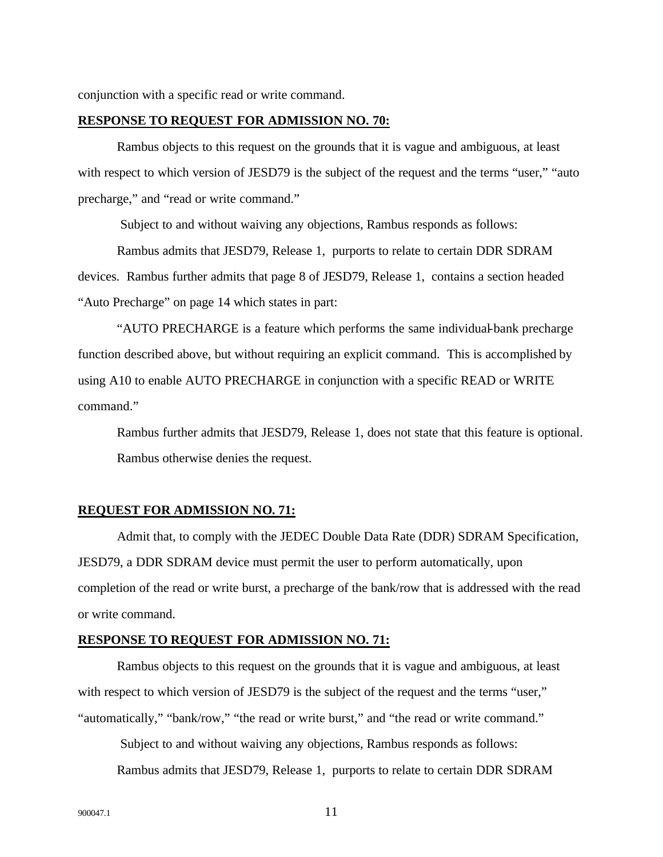conjunction with a specific read or write command.

#### **RESPONSE TO REQUEST FOR ADMISSION NO. 70:**

Rambus objects to this request on the grounds that it is vague and ambiguous, at least with respect to which version of JESD79 is the subject of the request and the terms "user," "auto precharge," and "read or write command."

Subject to and without waiving any objections, Rambus responds as follows:

Rambus admits that JESD79, Release 1, purports to relate to certain DDR SDRAM devices. Rambus further admits that page 8 of JESD79, Release 1, contains a section headed "Auto Precharge" on page 14 which states in part:

"AUTO PRECHARGE is a feature which performs the same individual-bank precharge function described above, but without requiring an explicit command. This is accomplished by using A10 to enable AUTO PRECHARGE in conjunction with a specific READ or WRITE command."

Rambus further admits that JESD79, Release 1, does not state that this feature is optional. Rambus otherwise denies the request.

#### **REQUEST FOR ADMISSION NO. 71:**

Admit that, to comply with the JEDEC Double Data Rate (DDR) SDRAM Specification, JESD79, a DDR SDRAM device must permit the user to perform automatically, upon completion of the read or write burst, a precharge of the bank/row that is addressed with the read or write command.

## **RESPONSE TO REQUEST FOR ADMISSION NO. 71:**

Rambus objects to this request on the grounds that it is vague and ambiguous, at least with respect to which version of JESD79 is the subject of the request and the terms "user," "automatically," "bank/row," "the read or write burst," and "the read or write command."

 Subject to and without waiving any objections, Rambus responds as follows: Rambus admits that JESD79, Release 1, purports to relate to certain DDR SDRAM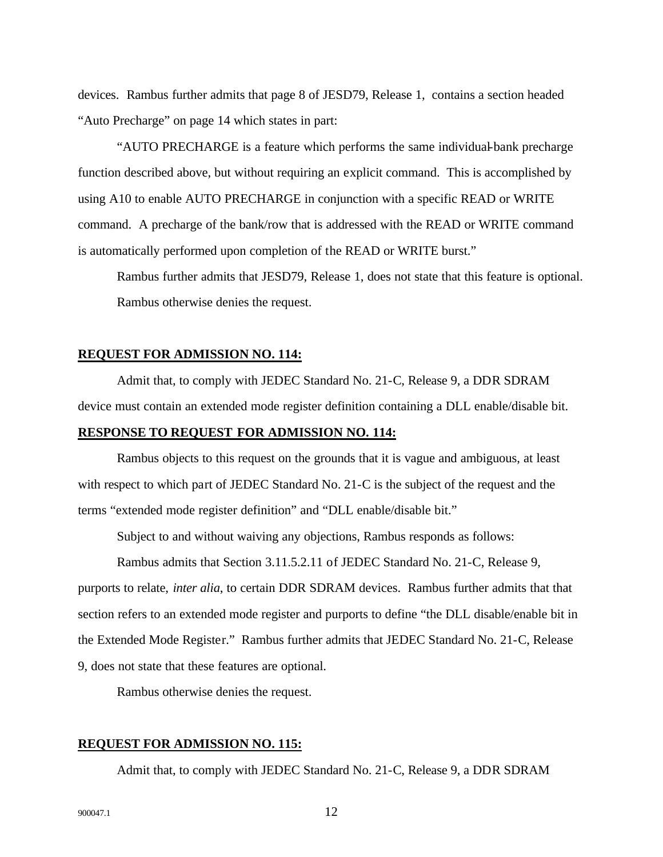devices. Rambus further admits that page 8 of JESD79, Release 1, contains a section headed "Auto Precharge" on page 14 which states in part:

"AUTO PRECHARGE is a feature which performs the same individual-bank precharge function described above, but without requiring an explicit command. This is accomplished by using A10 to enable AUTO PRECHARGE in conjunction with a specific READ or WRITE command. A precharge of the bank/row that is addressed with the READ or WRITE command is automatically performed upon completion of the READ or WRITE burst."

Rambus further admits that JESD79, Release 1, does not state that this feature is optional. Rambus otherwise denies the request.

#### **REQUEST FOR ADMISSION NO. 114:**

Admit that, to comply with JEDEC Standard No. 21-C, Release 9, a DDR SDRAM device must contain an extended mode register definition containing a DLL enable/disable bit.

## **RESPONSE TO REQUEST FOR ADMISSION NO. 114:**

Rambus objects to this request on the grounds that it is vague and ambiguous, at least with respect to which part of JEDEC Standard No. 21-C is the subject of the request and the terms "extended mode register definition" and "DLL enable/disable bit."

Subject to and without waiving any objections, Rambus responds as follows:

Rambus admits that Section 3.11.5.2.11 of JEDEC Standard No. 21-C, Release 9, purports to relate, *inter alia*, to certain DDR SDRAM devices. Rambus further admits that that section refers to an extended mode register and purports to define "the DLL disable/enable bit in the Extended Mode Register." Rambus further admits that JEDEC Standard No. 21-C, Release 9, does not state that these features are optional.

Rambus otherwise denies the request.

## **REQUEST FOR ADMISSION NO. 115:**

Admit that, to comply with JEDEC Standard No. 21-C, Release 9, a DDR SDRAM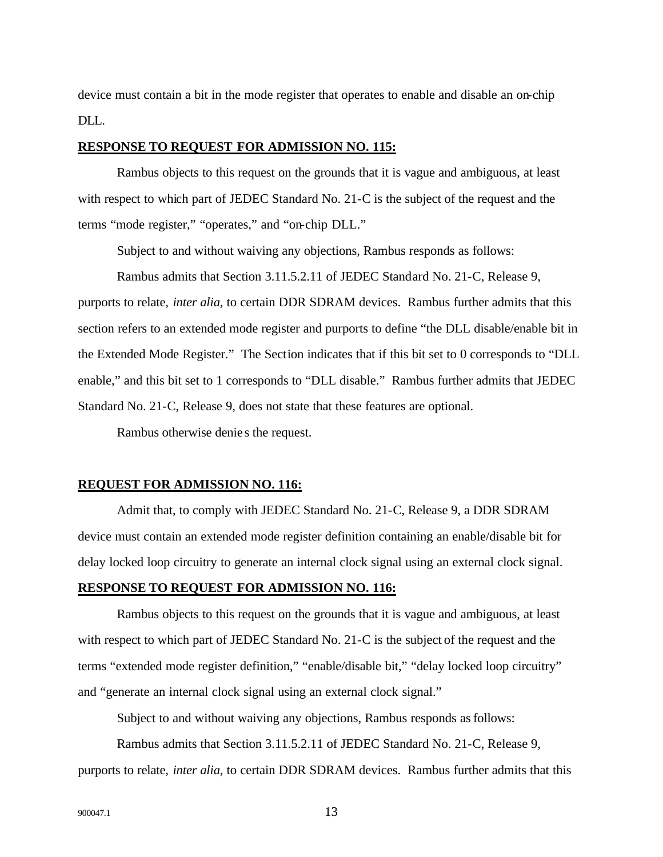device must contain a bit in the mode register that operates to enable and disable an on-chip DLL.

## **RESPONSE TO REQUEST FOR ADMISSION NO. 115:**

Rambus objects to this request on the grounds that it is vague and ambiguous, at least with respect to which part of JEDEC Standard No. 21-C is the subject of the request and the terms "mode register," "operates," and "on-chip DLL."

Subject to and without waiving any objections, Rambus responds as follows:

Rambus admits that Section 3.11.5.2.11 of JEDEC Standard No. 21-C, Release 9,

purports to relate, *inter alia*, to certain DDR SDRAM devices. Rambus further admits that this section refers to an extended mode register and purports to define "the DLL disable/enable bit in the Extended Mode Register." The Section indicates that if this bit set to 0 corresponds to "DLL enable," and this bit set to 1 corresponds to "DLL disable." Rambus further admits that JEDEC Standard No. 21-C, Release 9, does not state that these features are optional.

Rambus otherwise denie s the request.

## **REQUEST FOR ADMISSION NO. 116:**

Admit that, to comply with JEDEC Standard No. 21-C, Release 9, a DDR SDRAM device must contain an extended mode register definition containing an enable/disable bit for delay locked loop circuitry to generate an internal clock signal using an external clock signal.

## **RESPONSE TO REQUEST FOR ADMISSION NO. 116:**

Rambus objects to this request on the grounds that it is vague and ambiguous, at least with respect to which part of JEDEC Standard No. 21-C is the subject of the request and the terms "extended mode register definition," "enable/disable bit," "delay locked loop circuitry" and "generate an internal clock signal using an external clock signal."

Subject to and without waiving any objections, Rambus responds as follows:

Rambus admits that Section 3.11.5.2.11 of JEDEC Standard No. 21-C, Release 9, purports to relate, *inter alia*, to certain DDR SDRAM devices. Rambus further admits that this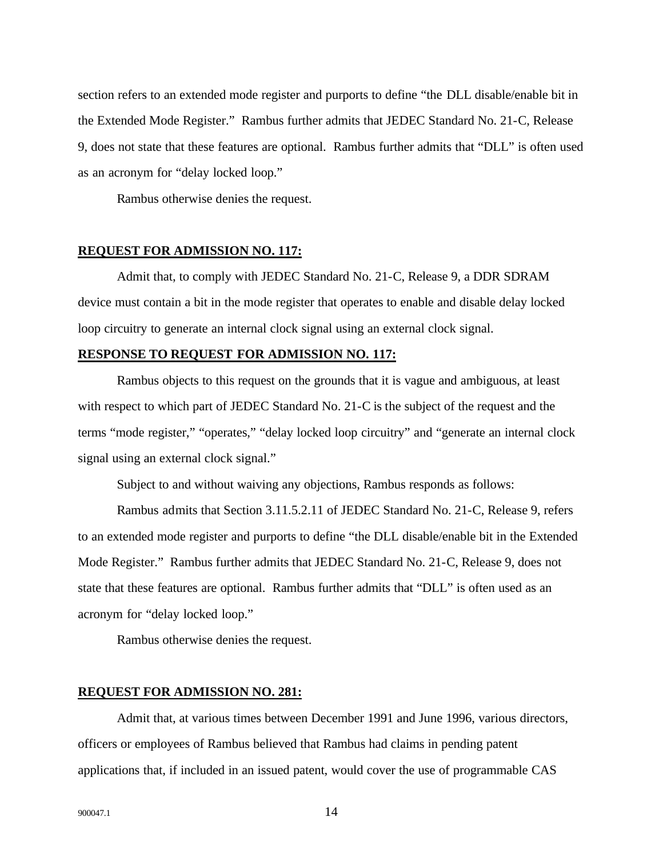section refers to an extended mode register and purports to define "the DLL disable/enable bit in the Extended Mode Register." Rambus further admits that JEDEC Standard No. 21-C, Release 9, does not state that these features are optional. Rambus further admits that "DLL" is often used as an acronym for "delay locked loop."

Rambus otherwise denies the request.

## **REQUEST FOR ADMISSION NO. 117:**

Admit that, to comply with JEDEC Standard No. 21-C, Release 9, a DDR SDRAM device must contain a bit in the mode register that operates to enable and disable delay locked loop circuitry to generate an internal clock signal using an external clock signal.

## **RESPONSE TO REQUEST FOR ADMISSION NO. 117:**

Rambus objects to this request on the grounds that it is vague and ambiguous, at least with respect to which part of JEDEC Standard No. 21-C is the subject of the request and the terms "mode register," "operates," "delay locked loop circuitry" and "generate an internal clock signal using an external clock signal."

Subject to and without waiving any objections, Rambus responds as follows:

Rambus admits that Section 3.11.5.2.11 of JEDEC Standard No. 21-C, Release 9, refers to an extended mode register and purports to define "the DLL disable/enable bit in the Extended Mode Register." Rambus further admits that JEDEC Standard No. 21-C, Release 9, does not state that these features are optional. Rambus further admits that "DLL" is often used as an acronym for "delay locked loop."

Rambus otherwise denies the request.

## **REQUEST FOR ADMISSION NO. 281:**

Admit that, at various times between December 1991 and June 1996, various directors, officers or employees of Rambus believed that Rambus had claims in pending patent applications that, if included in an issued patent, would cover the use of programmable CAS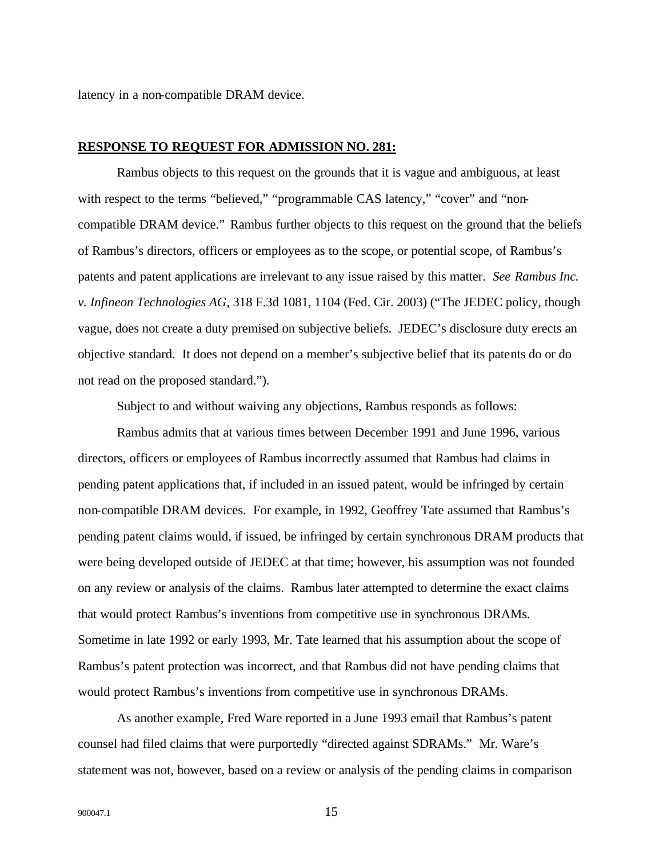latency in a non-compatible DRAM device.

## **RESPONSE TO REQUEST FOR ADMISSION NO. 281:**

Rambus objects to this request on the grounds that it is vague and ambiguous, at least with respect to the terms "believed," "programmable CAS latency," "cover" and "noncompatible DRAM device." Rambus further objects to this request on the ground that the beliefs of Rambus's directors, officers or employees as to the scope, or potential scope, of Rambus's patents and patent applications are irrelevant to any issue raised by this matter. *See Rambus Inc. v. Infineon Technologies AG*, 318 F.3d 1081, 1104 (Fed. Cir. 2003) ("The JEDEC policy, though vague, does not create a duty premised on subjective beliefs. JEDEC's disclosure duty erects an objective standard. It does not depend on a member's subjective belief that its patents do or do not read on the proposed standard.").

Subject to and without waiving any objections, Rambus responds as follows:

Rambus admits that at various times between December 1991 and June 1996, various directors, officers or employees of Rambus incorrectly assumed that Rambus had claims in pending patent applications that, if included in an issued patent, would be infringed by certain non-compatible DRAM devices. For example, in 1992, Geoffrey Tate assumed that Rambus's pending patent claims would, if issued, be infringed by certain synchronous DRAM products that were being developed outside of JEDEC at that time; however, his assumption was not founded on any review or analysis of the claims. Rambus later attempted to determine the exact claims that would protect Rambus's inventions from competitive use in synchronous DRAMs. Sometime in late 1992 or early 1993, Mr. Tate learned that his assumption about the scope of Rambus's patent protection was incorrect, and that Rambus did not have pending claims that would protect Rambus's inventions from competitive use in synchronous DRAMs.

As another example, Fred Ware reported in a June 1993 email that Rambus's patent counsel had filed claims that were purportedly "directed against SDRAMs." Mr. Ware's statement was not, however, based on a review or analysis of the pending claims in comparison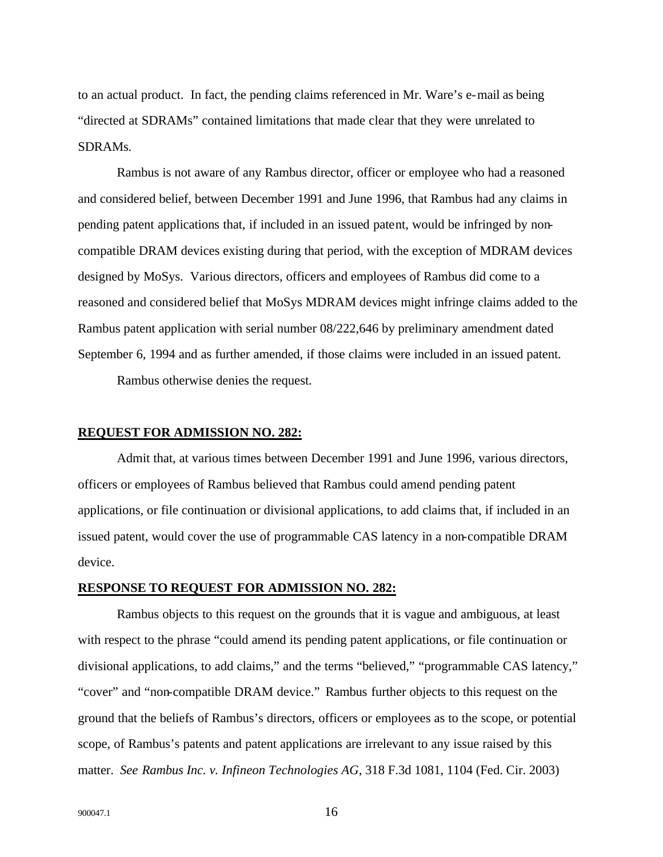to an actual product. In fact, the pending claims referenced in Mr. Ware's e-mail as being "directed at SDRAMs" contained limitations that made clear that they were unrelated to SDRAMs.

Rambus is not aware of any Rambus director, officer or employee who had a reasoned and considered belief, between December 1991 and June 1996, that Rambus had any claims in pending patent applications that, if included in an issued patent, would be infringed by noncompatible DRAM devices existing during that period, with the exception of MDRAM devices designed by MoSys. Various directors, officers and employees of Rambus did come to a reasoned and considered belief that MoSys MDRAM devices might infringe claims added to the Rambus patent application with serial number 08/222,646 by preliminary amendment dated September 6, 1994 and as further amended, if those claims were included in an issued patent.

Rambus otherwise denies the request.

#### **REQUEST FOR ADMISSION NO. 282:**

Admit that, at various times between December 1991 and June 1996, various directors, officers or employees of Rambus believed that Rambus could amend pending patent applications, or file continuation or divisional applications, to add claims that, if included in an issued patent, would cover the use of programmable CAS latency in a non-compatible DRAM device.

## **RESPONSE TO REQUEST FOR ADMISSION NO. 282:**

Rambus objects to this request on the grounds that it is vague and ambiguous, at least with respect to the phrase "could amend its pending patent applications, or file continuation or divisional applications, to add claims," and the terms "believed," "programmable CAS latency," "cover" and "non-compatible DRAM device." Rambus further objects to this request on the ground that the beliefs of Rambus's directors, officers or employees as to the scope, or potential scope, of Rambus's patents and patent applications are irrelevant to any issue raised by this matter. *See Rambus Inc. v. Infineon Technologies AG*, 318 F.3d 1081, 1104 (Fed. Cir. 2003)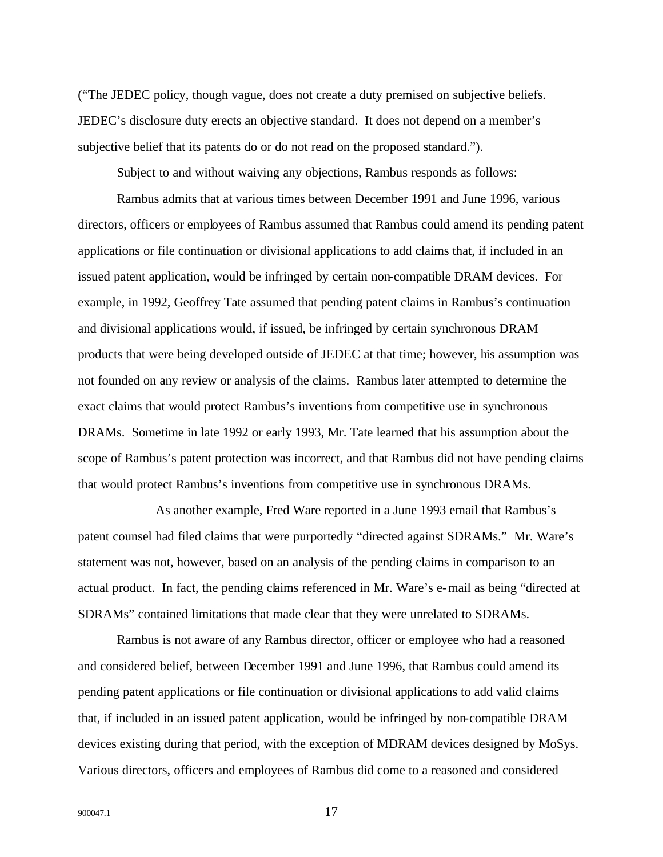("The JEDEC policy, though vague, does not create a duty premised on subjective beliefs. JEDEC's disclosure duty erects an objective standard. It does not depend on a member's subjective belief that its patents do or do not read on the proposed standard.").

Subject to and without waiving any objections, Rambus responds as follows:

Rambus admits that at various times between December 1991 and June 1996, various directors, officers or employees of Rambus assumed that Rambus could amend its pending patent applications or file continuation or divisional applications to add claims that, if included in an issued patent application, would be infringed by certain non-compatible DRAM devices. For example, in 1992, Geoffrey Tate assumed that pending patent claims in Rambus's continuation and divisional applications would, if issued, be infringed by certain synchronous DRAM products that were being developed outside of JEDEC at that time; however, his assumption was not founded on any review or analysis of the claims. Rambus later attempted to determine the exact claims that would protect Rambus's inventions from competitive use in synchronous DRAMs. Sometime in late 1992 or early 1993, Mr. Tate learned that his assumption about the scope of Rambus's patent protection was incorrect, and that Rambus did not have pending claims that would protect Rambus's inventions from competitive use in synchronous DRAMs.

As another example, Fred Ware reported in a June 1993 email that Rambus's patent counsel had filed claims that were purportedly "directed against SDRAMs." Mr. Ware's statement was not, however, based on an analysis of the pending claims in comparison to an actual product. In fact, the pending claims referenced in Mr. Ware's e-mail as being "directed at SDRAMs" contained limitations that made clear that they were unrelated to SDRAMs.

Rambus is not aware of any Rambus director, officer or employee who had a reasoned and considered belief, between December 1991 and June 1996, that Rambus could amend its pending patent applications or file continuation or divisional applications to add valid claims that, if included in an issued patent application, would be infringed by non-compatible DRAM devices existing during that period, with the exception of MDRAM devices designed by MoSys. Various directors, officers and employees of Rambus did come to a reasoned and considered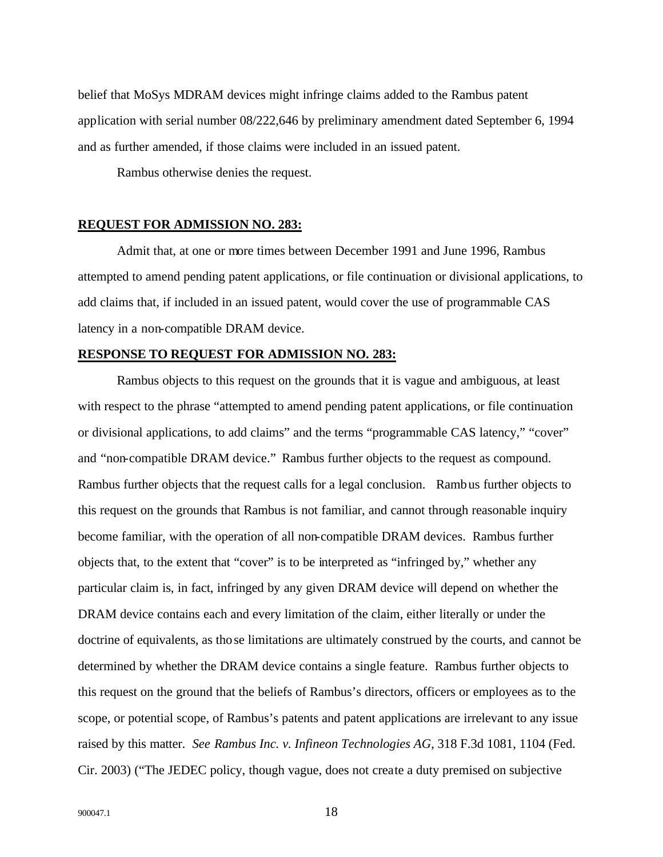belief that MoSys MDRAM devices might infringe claims added to the Rambus patent application with serial number 08/222,646 by preliminary amendment dated September 6, 1994 and as further amended, if those claims were included in an issued patent.

Rambus otherwise denies the request.

#### **REQUEST FOR ADMISSION NO. 283:**

Admit that, at one or more times between December 1991 and June 1996, Rambus attempted to amend pending patent applications, or file continuation or divisional applications, to add claims that, if included in an issued patent, would cover the use of programmable CAS latency in a non-compatible DRAM device.

#### **RESPONSE TO REQUEST FOR ADMISSION NO. 283:**

Rambus objects to this request on the grounds that it is vague and ambiguous, at least with respect to the phrase "attempted to amend pending patent applications, or file continuation or divisional applications, to add claims" and the terms "programmable CAS latency," "cover" and "non-compatible DRAM device." Rambus further objects to the request as compound. Rambus further objects that the request calls for a legal conclusion. Rambus further objects to this request on the grounds that Rambus is not familiar, and cannot through reasonable inquiry become familiar, with the operation of all non-compatible DRAM devices. Rambus further objects that, to the extent that "cover" is to be interpreted as "infringed by," whether any particular claim is, in fact, infringed by any given DRAM device will depend on whether the DRAM device contains each and every limitation of the claim, either literally or under the doctrine of equivalents, as those limitations are ultimately construed by the courts, and cannot be determined by whether the DRAM device contains a single feature. Rambus further objects to this request on the ground that the beliefs of Rambus's directors, officers or employees as to the scope, or potential scope, of Rambus's patents and patent applications are irrelevant to any issue raised by this matter. *See Rambus Inc. v. Infineon Technologies AG*, 318 F.3d 1081, 1104 (Fed. Cir. 2003) ("The JEDEC policy, though vague, does not create a duty premised on subjective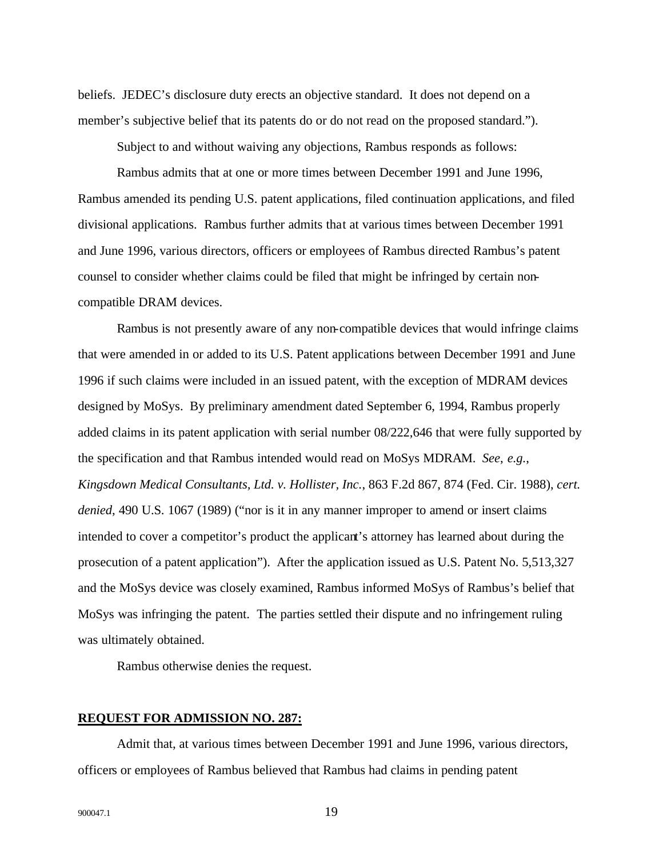beliefs. JEDEC's disclosure duty erects an objective standard. It does not depend on a member's subjective belief that its patents do or do not read on the proposed standard.").

Subject to and without waiving any objections, Rambus responds as follows:

Rambus admits that at one or more times between December 1991 and June 1996, Rambus amended its pending U.S. patent applications, filed continuation applications, and filed divisional applications. Rambus further admits that at various times between December 1991 and June 1996, various directors, officers or employees of Rambus directed Rambus's patent counsel to consider whether claims could be filed that might be infringed by certain noncompatible DRAM devices.

Rambus is not presently aware of any non-compatible devices that would infringe claims that were amended in or added to its U.S. Patent applications between December 1991 and June 1996 if such claims were included in an issued patent, with the exception of MDRAM devices designed by MoSys. By preliminary amendment dated September 6, 1994, Rambus properly added claims in its patent application with serial number 08/222,646 that were fully supported by the specification and that Rambus intended would read on MoSys MDRAM. *See*, *e.g.*, *Kingsdown Medical Consultants, Ltd. v. Hollister, Inc.*, 863 F.2d 867, 874 (Fed. Cir. 1988), *cert. denied*, 490 U.S. 1067 (1989) ("nor is it in any manner improper to amend or insert claims intended to cover a competitor's product the applicant's attorney has learned about during the prosecution of a patent application"). After the application issued as U.S. Patent No. 5,513,327 and the MoSys device was closely examined, Rambus informed MoSys of Rambus's belief that MoSys was infringing the patent. The parties settled their dispute and no infringement ruling was ultimately obtained.

Rambus otherwise denies the request.

#### **REQUEST FOR ADMISSION NO. 287:**

Admit that, at various times between December 1991 and June 1996, various directors, officers or employees of Rambus believed that Rambus had claims in pending patent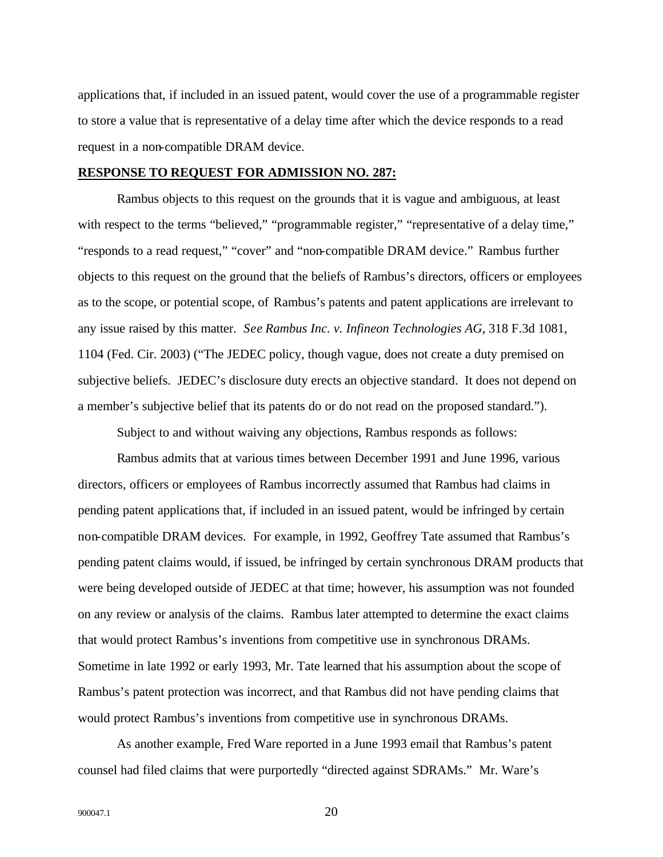applications that, if included in an issued patent, would cover the use of a programmable register to store a value that is representative of a delay time after which the device responds to a read request in a non-compatible DRAM device.

## **RESPONSE TO REQUEST FOR ADMISSION NO. 287:**

Rambus objects to this request on the grounds that it is vague and ambiguous, at least with respect to the terms "believed," "programmable register," "representative of a delay time," "responds to a read request," "cover" and "non-compatible DRAM device." Rambus further objects to this request on the ground that the beliefs of Rambus's directors, officers or employees as to the scope, or potential scope, of Rambus's patents and patent applications are irrelevant to any issue raised by this matter. *See Rambus Inc. v. Infineon Technologies AG*, 318 F.3d 1081, 1104 (Fed. Cir. 2003) ("The JEDEC policy, though vague, does not create a duty premised on subjective beliefs. JEDEC's disclosure duty erects an objective standard. It does not depend on a member's subjective belief that its patents do or do not read on the proposed standard.").

Subject to and without waiving any objections, Rambus responds as follows:

Rambus admits that at various times between December 1991 and June 1996, various directors, officers or employees of Rambus incorrectly assumed that Rambus had claims in pending patent applications that, if included in an issued patent, would be infringed by certain non-compatible DRAM devices. For example, in 1992, Geoffrey Tate assumed that Rambus's pending patent claims would, if issued, be infringed by certain synchronous DRAM products that were being developed outside of JEDEC at that time; however, his assumption was not founded on any review or analysis of the claims. Rambus later attempted to determine the exact claims that would protect Rambus's inventions from competitive use in synchronous DRAMs. Sometime in late 1992 or early 1993, Mr. Tate learned that his assumption about the scope of Rambus's patent protection was incorrect, and that Rambus did not have pending claims that would protect Rambus's inventions from competitive use in synchronous DRAMs.

As another example, Fred Ware reported in a June 1993 email that Rambus's patent counsel had filed claims that were purportedly "directed against SDRAMs." Mr. Ware's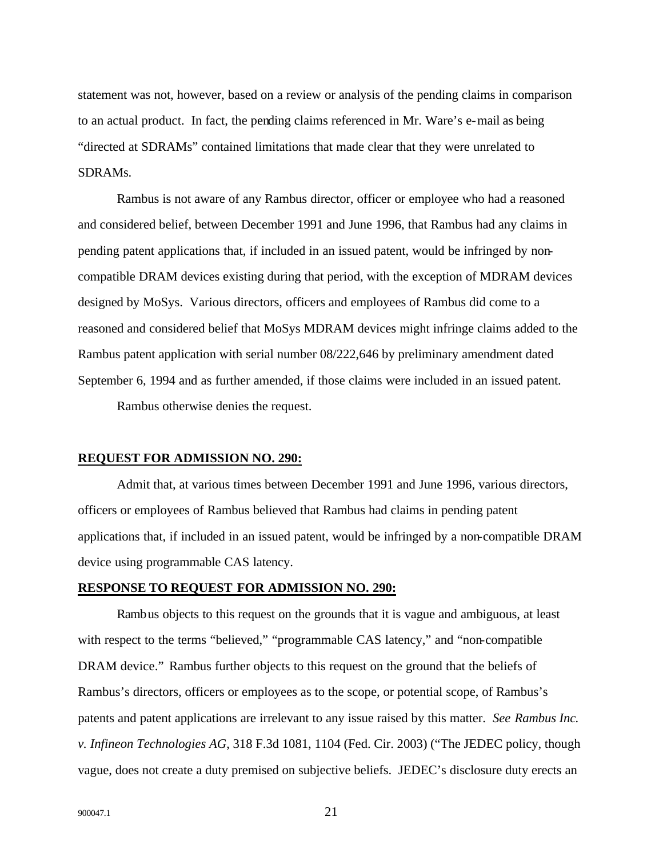statement was not, however, based on a review or analysis of the pending claims in comparison to an actual product. In fact, the pending claims referenced in Mr. Ware's e-mail as being "directed at SDRAMs" contained limitations that made clear that they were unrelated to SDRAMs.

Rambus is not aware of any Rambus director, officer or employee who had a reasoned and considered belief, between December 1991 and June 1996, that Rambus had any claims in pending patent applications that, if included in an issued patent, would be infringed by noncompatible DRAM devices existing during that period, with the exception of MDRAM devices designed by MoSys. Various directors, officers and employees of Rambus did come to a reasoned and considered belief that MoSys MDRAM devices might infringe claims added to the Rambus patent application with serial number 08/222,646 by preliminary amendment dated September 6, 1994 and as further amended, if those claims were included in an issued patent. Rambus otherwise denies the request.

#### **REQUEST FOR ADMISSION NO. 290:**

Admit that, at various times between December 1991 and June 1996, various directors, officers or employees of Rambus believed that Rambus had claims in pending patent applications that, if included in an issued patent, would be infringed by a non-compatible DRAM device using programmable CAS latency.

## **RESPONSE TO REQUEST FOR ADMISSION NO. 290:**

Rambus objects to this request on the grounds that it is vague and ambiguous, at least with respect to the terms "believed," "programmable CAS latency," and "non-compatible DRAM device." Rambus further objects to this request on the ground that the beliefs of Rambus's directors, officers or employees as to the scope, or potential scope, of Rambus's patents and patent applications are irrelevant to any issue raised by this matter. *See Rambus Inc. v. Infineon Technologies AG*, 318 F.3d 1081, 1104 (Fed. Cir. 2003) ("The JEDEC policy, though vague, does not create a duty premised on subjective beliefs. JEDEC's disclosure duty erects an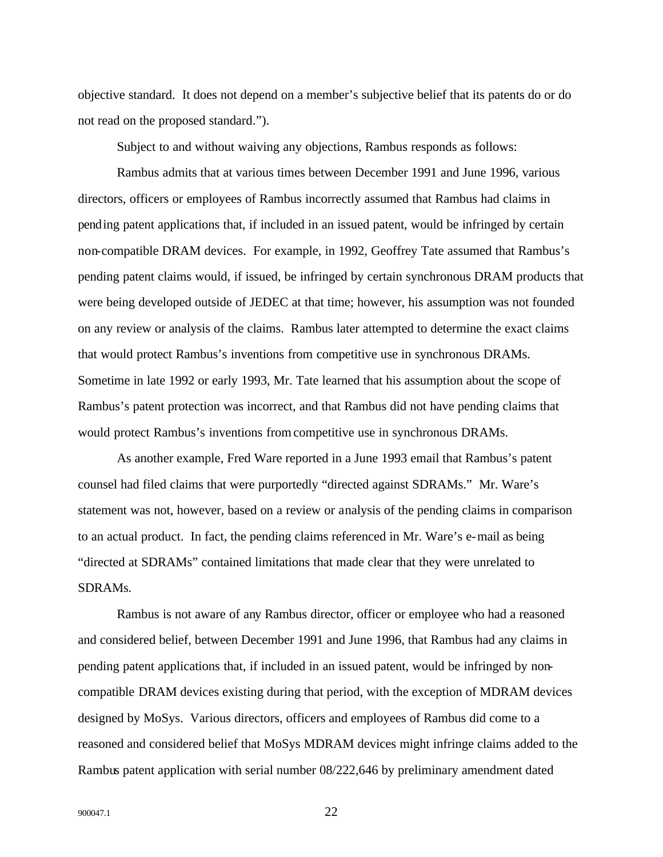objective standard. It does not depend on a member's subjective belief that its patents do or do not read on the proposed standard.").

Subject to and without waiving any objections, Rambus responds as follows:

Rambus admits that at various times between December 1991 and June 1996, various directors, officers or employees of Rambus incorrectly assumed that Rambus had claims in pending patent applications that, if included in an issued patent, would be infringed by certain non-compatible DRAM devices. For example, in 1992, Geoffrey Tate assumed that Rambus's pending patent claims would, if issued, be infringed by certain synchronous DRAM products that were being developed outside of JEDEC at that time; however, his assumption was not founded on any review or analysis of the claims. Rambus later attempted to determine the exact claims that would protect Rambus's inventions from competitive use in synchronous DRAMs. Sometime in late 1992 or early 1993, Mr. Tate learned that his assumption about the scope of Rambus's patent protection was incorrect, and that Rambus did not have pending claims that would protect Rambus's inventions from competitive use in synchronous DRAMs.

As another example, Fred Ware reported in a June 1993 email that Rambus's patent counsel had filed claims that were purportedly "directed against SDRAMs." Mr. Ware's statement was not, however, based on a review or analysis of the pending claims in comparison to an actual product. In fact, the pending claims referenced in Mr. Ware's e-mail as being "directed at SDRAMs" contained limitations that made clear that they were unrelated to SDRAMs.

Rambus is not aware of any Rambus director, officer or employee who had a reasoned and considered belief, between December 1991 and June 1996, that Rambus had any claims in pending patent applications that, if included in an issued patent, would be infringed by noncompatible DRAM devices existing during that period, with the exception of MDRAM devices designed by MoSys. Various directors, officers and employees of Rambus did come to a reasoned and considered belief that MoSys MDRAM devices might infringe claims added to the Rambus patent application with serial number 08/222,646 by preliminary amendment dated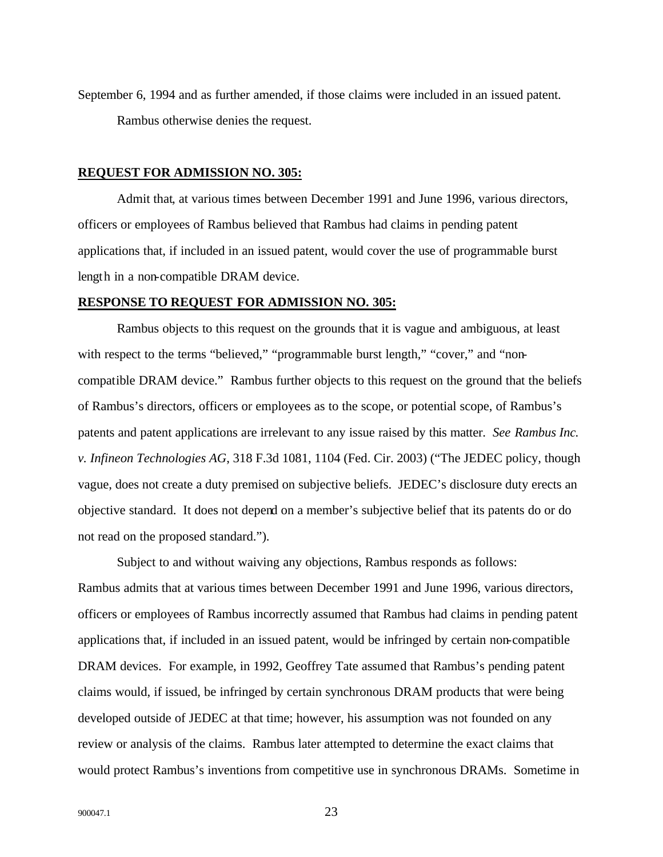September 6, 1994 and as further amended, if those claims were included in an issued patent. Rambus otherwise denies the request.

### **REQUEST FOR ADMISSION NO. 305:**

Admit that, at various times between December 1991 and June 1996, various directors, officers or employees of Rambus believed that Rambus had claims in pending patent applications that, if included in an issued patent, would cover the use of programmable burst length in a non-compatible DRAM device.

## **RESPONSE TO REQUEST FOR ADMISSION NO. 305:**

Rambus objects to this request on the grounds that it is vague and ambiguous, at least with respect to the terms "believed," "programmable burst length," "cover," and "noncompatible DRAM device." Rambus further objects to this request on the ground that the beliefs of Rambus's directors, officers or employees as to the scope, or potential scope, of Rambus's patents and patent applications are irrelevant to any issue raised by this matter. *See Rambus Inc. v. Infineon Technologies AG*, 318 F.3d 1081, 1104 (Fed. Cir. 2003) ("The JEDEC policy, though vague, does not create a duty premised on subjective beliefs. JEDEC's disclosure duty erects an objective standard. It does not depend on a member's subjective belief that its patents do or do not read on the proposed standard.").

Subject to and without waiving any objections, Rambus responds as follows: Rambus admits that at various times between December 1991 and June 1996, various directors, officers or employees of Rambus incorrectly assumed that Rambus had claims in pending patent applications that, if included in an issued patent, would be infringed by certain non-compatible DRAM devices. For example, in 1992, Geoffrey Tate assumed that Rambus's pending patent claims would, if issued, be infringed by certain synchronous DRAM products that were being developed outside of JEDEC at that time; however, his assumption was not founded on any review or analysis of the claims. Rambus later attempted to determine the exact claims that would protect Rambus's inventions from competitive use in synchronous DRAMs. Sometime in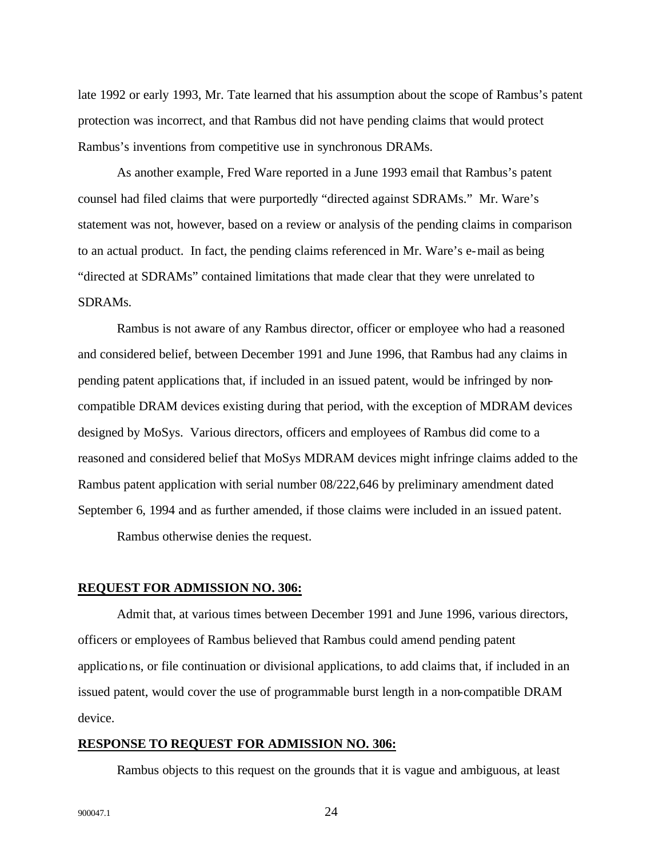late 1992 or early 1993, Mr. Tate learned that his assumption about the scope of Rambus's patent protection was incorrect, and that Rambus did not have pending claims that would protect Rambus's inventions from competitive use in synchronous DRAMs.

As another example, Fred Ware reported in a June 1993 email that Rambus's patent counsel had filed claims that were purportedly "directed against SDRAMs." Mr. Ware's statement was not, however, based on a review or analysis of the pending claims in comparison to an actual product. In fact, the pending claims referenced in Mr. Ware's e-mail as being "directed at SDRAMs" contained limitations that made clear that they were unrelated to SDRAMs.

Rambus is not aware of any Rambus director, officer or employee who had a reasoned and considered belief, between December 1991 and June 1996, that Rambus had any claims in pending patent applications that, if included in an issued patent, would be infringed by noncompatible DRAM devices existing during that period, with the exception of MDRAM devices designed by MoSys. Various directors, officers and employees of Rambus did come to a reasoned and considered belief that MoSys MDRAM devices might infringe claims added to the Rambus patent application with serial number 08/222,646 by preliminary amendment dated September 6, 1994 and as further amended, if those claims were included in an issued patent.

Rambus otherwise denies the request.

#### **REQUEST FOR ADMISSION NO. 306:**

Admit that, at various times between December 1991 and June 1996, various directors, officers or employees of Rambus believed that Rambus could amend pending patent applications, or file continuation or divisional applications, to add claims that, if included in an issued patent, would cover the use of programmable burst length in a non-compatible DRAM device.

## **RESPONSE TO REQUEST FOR ADMISSION NO. 306:**

Rambus objects to this request on the grounds that it is vague and ambiguous, at least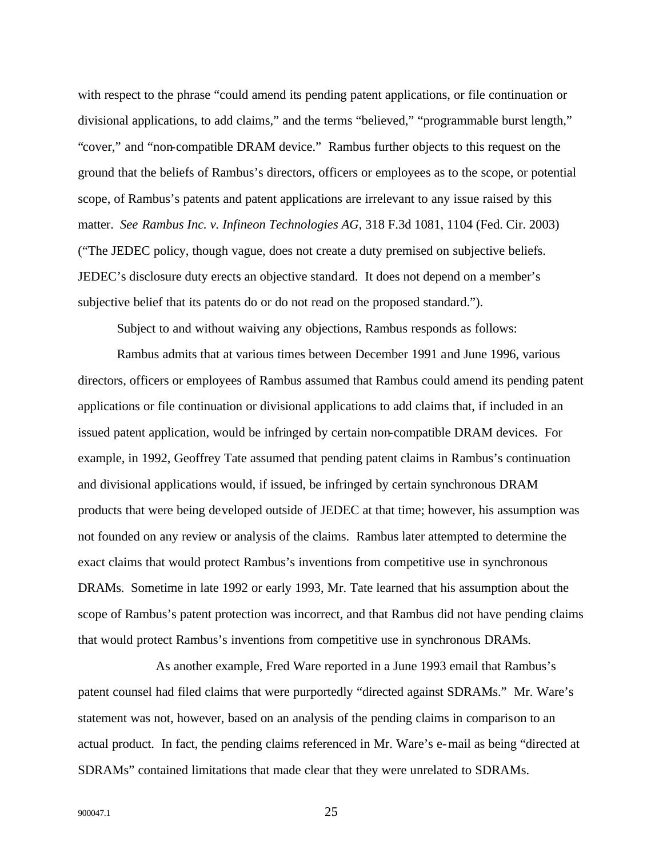with respect to the phrase "could amend its pending patent applications, or file continuation or divisional applications, to add claims," and the terms "believed," "programmable burst length," "cover," and "non-compatible DRAM device." Rambus further objects to this request on the ground that the beliefs of Rambus's directors, officers or employees as to the scope, or potential scope, of Rambus's patents and patent applications are irrelevant to any issue raised by this matter. *See Rambus Inc. v. Infineon Technologies AG*, 318 F.3d 1081, 1104 (Fed. Cir. 2003) ("The JEDEC policy, though vague, does not create a duty premised on subjective beliefs. JEDEC's disclosure duty erects an objective standard. It does not depend on a member's subjective belief that its patents do or do not read on the proposed standard.").

Subject to and without waiving any objections, Rambus responds as follows:

Rambus admits that at various times between December 1991 and June 1996, various directors, officers or employees of Rambus assumed that Rambus could amend its pending patent applications or file continuation or divisional applications to add claims that, if included in an issued patent application, would be infringed by certain non-compatible DRAM devices. For example, in 1992, Geoffrey Tate assumed that pending patent claims in Rambus's continuation and divisional applications would, if issued, be infringed by certain synchronous DRAM products that were being developed outside of JEDEC at that time; however, his assumption was not founded on any review or analysis of the claims. Rambus later attempted to determine the exact claims that would protect Rambus's inventions from competitive use in synchronous DRAMs. Sometime in late 1992 or early 1993, Mr. Tate learned that his assumption about the scope of Rambus's patent protection was incorrect, and that Rambus did not have pending claims that would protect Rambus's inventions from competitive use in synchronous DRAMs.

As another example, Fred Ware reported in a June 1993 email that Rambus's patent counsel had filed claims that were purportedly "directed against SDRAMs." Mr. Ware's statement was not, however, based on an analysis of the pending claims in comparison to an actual product. In fact, the pending claims referenced in Mr. Ware's e-mail as being "directed at SDRAMs" contained limitations that made clear that they were unrelated to SDRAMs.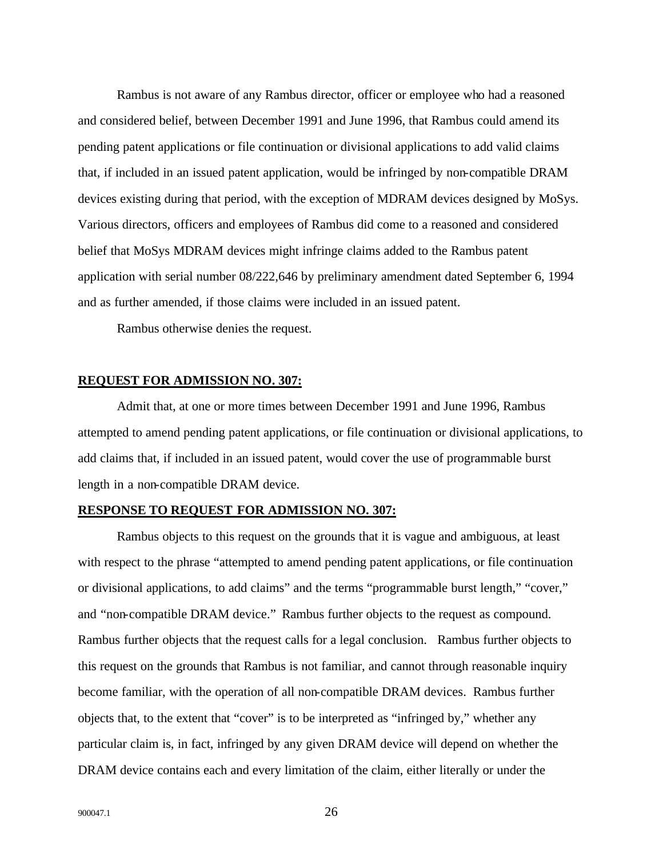Rambus is not aware of any Rambus director, officer or employee who had a reasoned and considered belief, between December 1991 and June 1996, that Rambus could amend its pending patent applications or file continuation or divisional applications to add valid claims that, if included in an issued patent application, would be infringed by non-compatible DRAM devices existing during that period, with the exception of MDRAM devices designed by MoSys. Various directors, officers and employees of Rambus did come to a reasoned and considered belief that MoSys MDRAM devices might infringe claims added to the Rambus patent application with serial number 08/222,646 by preliminary amendment dated September 6, 1994 and as further amended, if those claims were included in an issued patent.

Rambus otherwise denies the request.

## **REQUEST FOR ADMISSION NO. 307:**

Admit that, at one or more times between December 1991 and June 1996, Rambus attempted to amend pending patent applications, or file continuation or divisional applications, to add claims that, if included in an issued patent, would cover the use of programmable burst length in a non-compatible DRAM device.

#### **RESPONSE TO REQUEST FOR ADMISSION NO. 307:**

Rambus objects to this request on the grounds that it is vague and ambiguous, at least with respect to the phrase "attempted to amend pending patent applications, or file continuation or divisional applications, to add claims" and the terms "programmable burst length," "cover," and "non-compatible DRAM device." Rambus further objects to the request as compound. Rambus further objects that the request calls for a legal conclusion. Rambus further objects to this request on the grounds that Rambus is not familiar, and cannot through reasonable inquiry become familiar, with the operation of all non-compatible DRAM devices. Rambus further objects that, to the extent that "cover" is to be interpreted as "infringed by," whether any particular claim is, in fact, infringed by any given DRAM device will depend on whether the DRAM device contains each and every limitation of the claim, either literally or under the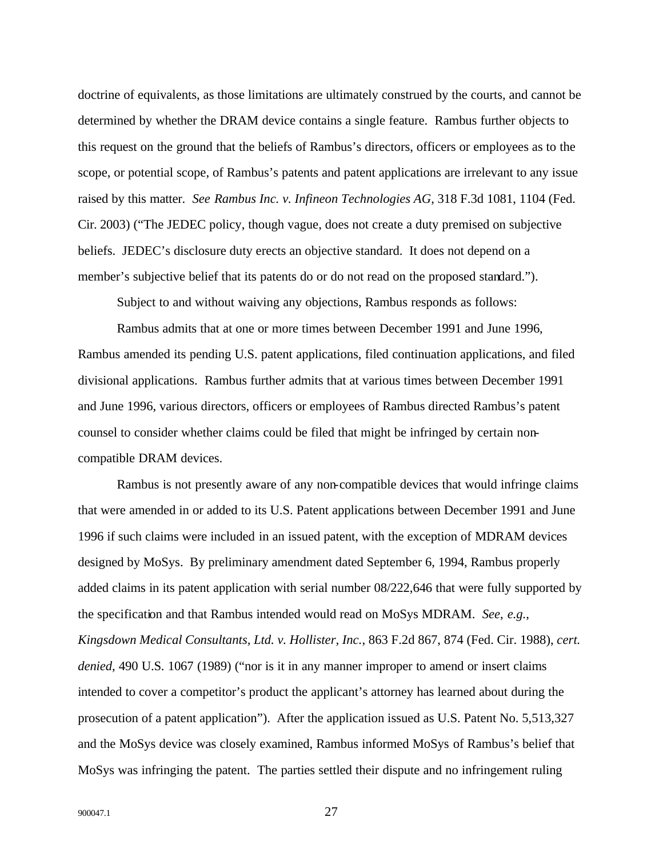doctrine of equivalents, as those limitations are ultimately construed by the courts, and cannot be determined by whether the DRAM device contains a single feature. Rambus further objects to this request on the ground that the beliefs of Rambus's directors, officers or employees as to the scope, or potential scope, of Rambus's patents and patent applications are irrelevant to any issue raised by this matter. *See Rambus Inc. v. Infineon Technologies AG*, 318 F.3d 1081, 1104 (Fed. Cir. 2003) ("The JEDEC policy, though vague, does not create a duty premised on subjective beliefs. JEDEC's disclosure duty erects an objective standard. It does not depend on a member's subjective belief that its patents do or do not read on the proposed standard.").

Subject to and without waiving any objections, Rambus responds as follows:

Rambus admits that at one or more times between December 1991 and June 1996, Rambus amended its pending U.S. patent applications, filed continuation applications, and filed divisional applications. Rambus further admits that at various times between December 1991 and June 1996, various directors, officers or employees of Rambus directed Rambus's patent counsel to consider whether claims could be filed that might be infringed by certain noncompatible DRAM devices.

Rambus is not presently aware of any non-compatible devices that would infringe claims that were amended in or added to its U.S. Patent applications between December 1991 and June 1996 if such claims were included in an issued patent, with the exception of MDRAM devices designed by MoSys. By preliminary amendment dated September 6, 1994, Rambus properly added claims in its patent application with serial number 08/222,646 that were fully supported by the specification and that Rambus intended would read on MoSys MDRAM. *See*, *e.g.*, *Kingsdown Medical Consultants, Ltd. v. Hollister, Inc.*, 863 F.2d 867, 874 (Fed. Cir. 1988), *cert. denied*, 490 U.S. 1067 (1989) ("nor is it in any manner improper to amend or insert claims intended to cover a competitor's product the applicant's attorney has learned about during the prosecution of a patent application"). After the application issued as U.S. Patent No. 5,513,327 and the MoSys device was closely examined, Rambus informed MoSys of Rambus's belief that MoSys was infringing the patent. The parties settled their dispute and no infringement ruling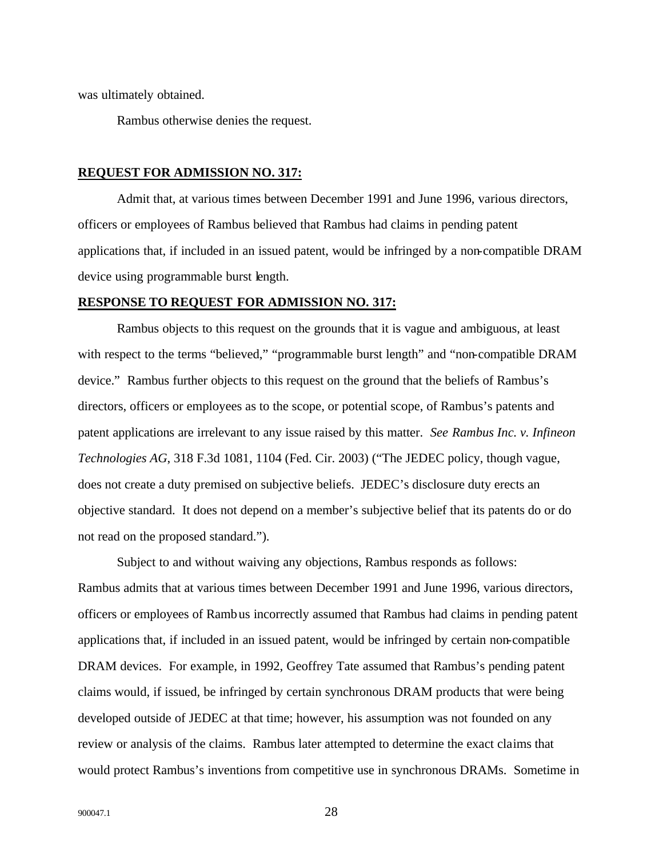was ultimately obtained.

Rambus otherwise denies the request.

## **REQUEST FOR ADMISSION NO. 317:**

Admit that, at various times between December 1991 and June 1996, various directors, officers or employees of Rambus believed that Rambus had claims in pending patent applications that, if included in an issued patent, would be infringed by a non-compatible DRAM device using programmable burst length.

## **RESPONSE TO REQUEST FOR ADMISSION NO. 317:**

Rambus objects to this request on the grounds that it is vague and ambiguous, at least with respect to the terms "believed," "programmable burst length" and "non-compatible DRAM device." Rambus further objects to this request on the ground that the beliefs of Rambus's directors, officers or employees as to the scope, or potential scope, of Rambus's patents and patent applications are irrelevant to any issue raised by this matter. *See Rambus Inc. v. Infineon Technologies AG*, 318 F.3d 1081, 1104 (Fed. Cir. 2003) ("The JEDEC policy, though vague, does not create a duty premised on subjective beliefs. JEDEC's disclosure duty erects an objective standard. It does not depend on a member's subjective belief that its patents do or do not read on the proposed standard.").

Subject to and without waiving any objections, Rambus responds as follows: Rambus admits that at various times between December 1991 and June 1996, various directors, officers or employees of Rambus incorrectly assumed that Rambus had claims in pending patent applications that, if included in an issued patent, would be infringed by certain non-compatible DRAM devices. For example, in 1992, Geoffrey Tate assumed that Rambus's pending patent claims would, if issued, be infringed by certain synchronous DRAM products that were being developed outside of JEDEC at that time; however, his assumption was not founded on any review or analysis of the claims. Rambus later attempted to determine the exact claims that would protect Rambus's inventions from competitive use in synchronous DRAMs. Sometime in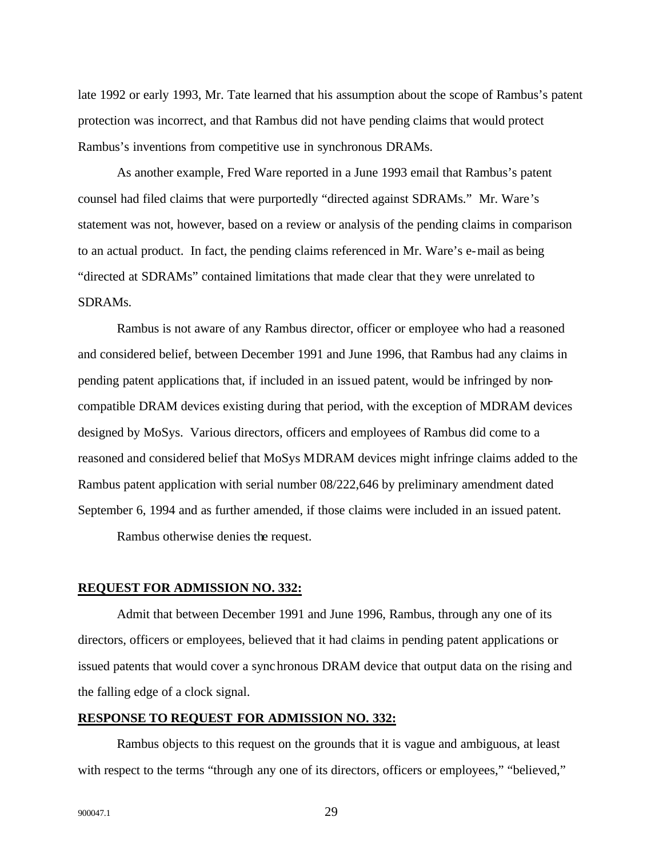late 1992 or early 1993, Mr. Tate learned that his assumption about the scope of Rambus's patent protection was incorrect, and that Rambus did not have pending claims that would protect Rambus's inventions from competitive use in synchronous DRAMs.

As another example, Fred Ware reported in a June 1993 email that Rambus's patent counsel had filed claims that were purportedly "directed against SDRAMs." Mr. Ware's statement was not, however, based on a review or analysis of the pending claims in comparison to an actual product. In fact, the pending claims referenced in Mr. Ware's e-mail as being "directed at SDRAMs" contained limitations that made clear that they were unrelated to SDRAMs.

Rambus is not aware of any Rambus director, officer or employee who had a reasoned and considered belief, between December 1991 and June 1996, that Rambus had any claims in pending patent applications that, if included in an issued patent, would be infringed by noncompatible DRAM devices existing during that period, with the exception of MDRAM devices designed by MoSys. Various directors, officers and employees of Rambus did come to a reasoned and considered belief that MoSys MDRAM devices might infringe claims added to the Rambus patent application with serial number 08/222,646 by preliminary amendment dated September 6, 1994 and as further amended, if those claims were included in an issued patent.

Rambus otherwise denies the request.

## **REQUEST FOR ADMISSION NO. 332:**

Admit that between December 1991 and June 1996, Rambus, through any one of its directors, officers or employees, believed that it had claims in pending patent applications or issued patents that would cover a synchronous DRAM device that output data on the rising and the falling edge of a clock signal.

## **RESPONSE TO REQUEST FOR ADMISSION NO. 332:**

Rambus objects to this request on the grounds that it is vague and ambiguous, at least with respect to the terms "through any one of its directors, officers or employees," "believed,"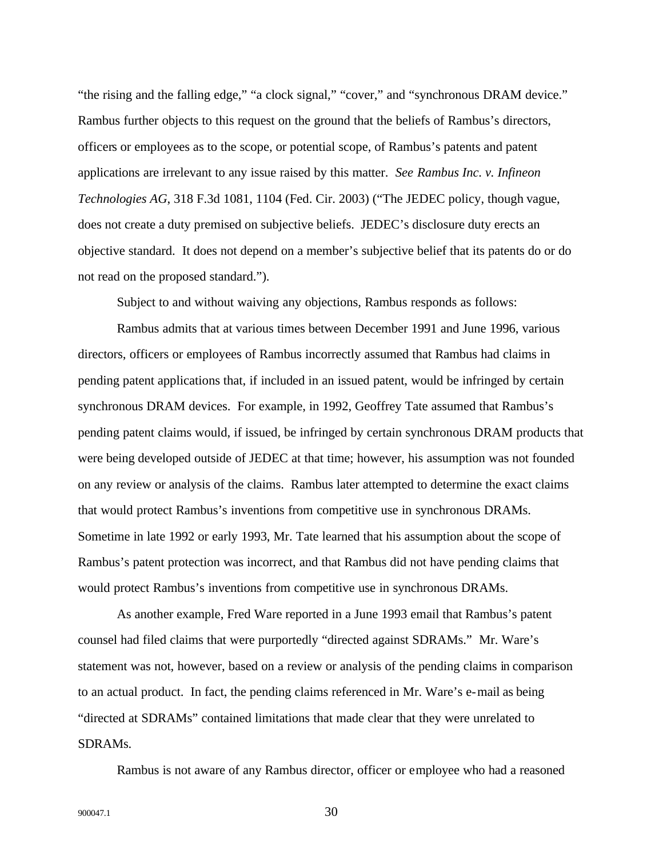"the rising and the falling edge," "a clock signal," "cover," and "synchronous DRAM device." Rambus further objects to this request on the ground that the beliefs of Rambus's directors, officers or employees as to the scope, or potential scope, of Rambus's patents and patent applications are irrelevant to any issue raised by this matter. *See Rambus Inc. v. Infineon Technologies AG*, 318 F.3d 1081, 1104 (Fed. Cir. 2003) ("The JEDEC policy, though vague, does not create a duty premised on subjective beliefs. JEDEC's disclosure duty erects an objective standard. It does not depend on a member's subjective belief that its patents do or do not read on the proposed standard.").

Subject to and without waiving any objections, Rambus responds as follows:

Rambus admits that at various times between December 1991 and June 1996, various directors, officers or employees of Rambus incorrectly assumed that Rambus had claims in pending patent applications that, if included in an issued patent, would be infringed by certain synchronous DRAM devices. For example, in 1992, Geoffrey Tate assumed that Rambus's pending patent claims would, if issued, be infringed by certain synchronous DRAM products that were being developed outside of JEDEC at that time; however, his assumption was not founded on any review or analysis of the claims. Rambus later attempted to determine the exact claims that would protect Rambus's inventions from competitive use in synchronous DRAMs. Sometime in late 1992 or early 1993, Mr. Tate learned that his assumption about the scope of Rambus's patent protection was incorrect, and that Rambus did not have pending claims that would protect Rambus's inventions from competitive use in synchronous DRAMs.

As another example, Fred Ware reported in a June 1993 email that Rambus's patent counsel had filed claims that were purportedly "directed against SDRAMs." Mr. Ware's statement was not, however, based on a review or analysis of the pending claims in comparison to an actual product. In fact, the pending claims referenced in Mr. Ware's e-mail as being "directed at SDRAMs" contained limitations that made clear that they were unrelated to SDRAMs.

Rambus is not aware of any Rambus director, officer or employee who had a reasoned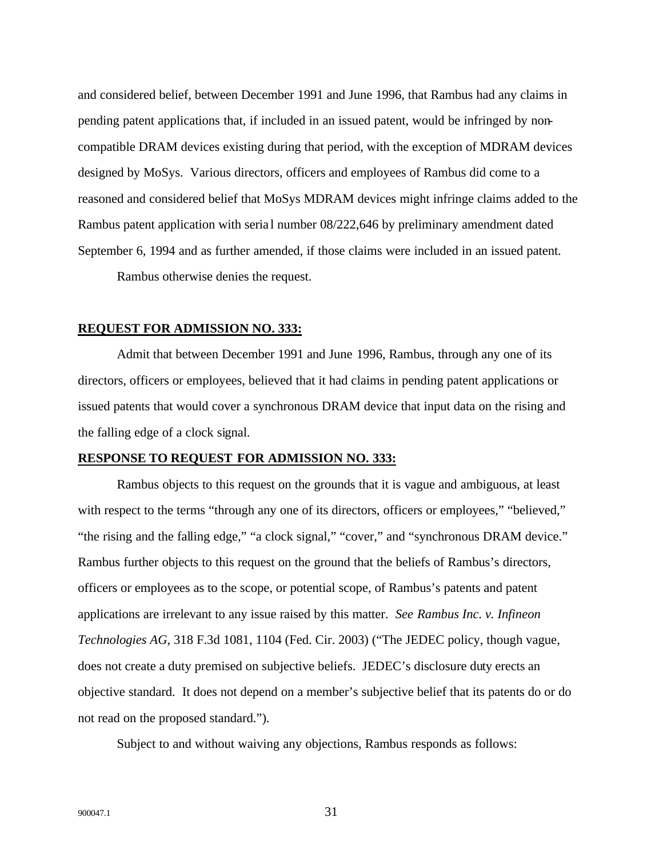and considered belief, between December 1991 and June 1996, that Rambus had any claims in pending patent applications that, if included in an issued patent, would be infringed by noncompatible DRAM devices existing during that period, with the exception of MDRAM devices designed by MoSys. Various directors, officers and employees of Rambus did come to a reasoned and considered belief that MoSys MDRAM devices might infringe claims added to the Rambus patent application with seria l number 08/222,646 by preliminary amendment dated September 6, 1994 and as further amended, if those claims were included in an issued patent. Rambus otherwise denies the request.

#### **REQUEST FOR ADMISSION NO. 333:**

Admit that between December 1991 and June 1996, Rambus, through any one of its directors, officers or employees, believed that it had claims in pending patent applications or issued patents that would cover a synchronous DRAM device that input data on the rising and the falling edge of a clock signal.

## **RESPONSE TO REQUEST FOR ADMISSION NO. 333:**

Rambus objects to this request on the grounds that it is vague and ambiguous, at least with respect to the terms "through any one of its directors, officers or employees," "believed," "the rising and the falling edge," "a clock signal," "cover," and "synchronous DRAM device." Rambus further objects to this request on the ground that the beliefs of Rambus's directors, officers or employees as to the scope, or potential scope, of Rambus's patents and patent applications are irrelevant to any issue raised by this matter. *See Rambus Inc. v. Infineon Technologies AG*, 318 F.3d 1081, 1104 (Fed. Cir. 2003) ("The JEDEC policy, though vague, does not create a duty premised on subjective beliefs. JEDEC's disclosure duty erects an objective standard. It does not depend on a member's subjective belief that its patents do or do not read on the proposed standard.").

Subject to and without waiving any objections, Rambus responds as follows: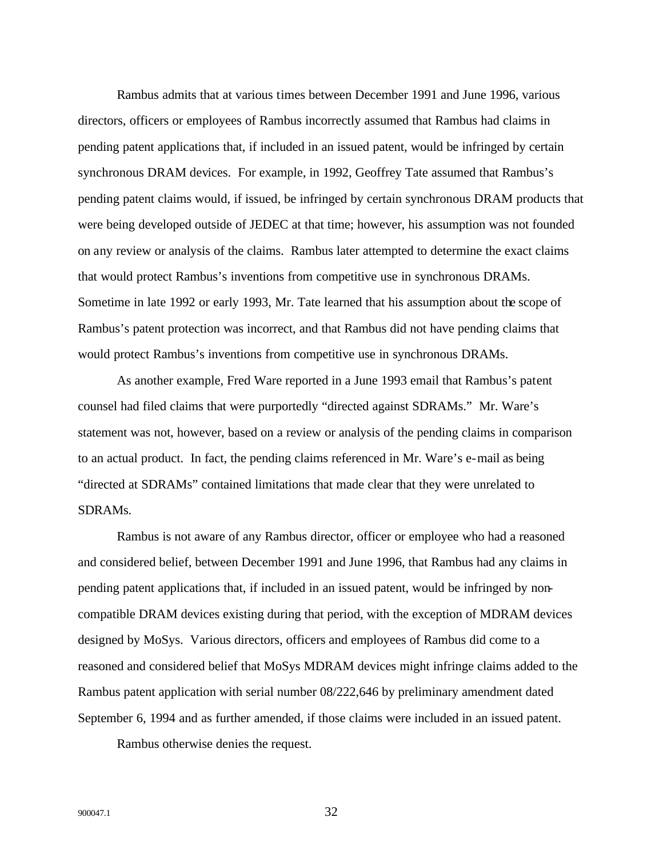Rambus admits that at various times between December 1991 and June 1996, various directors, officers or employees of Rambus incorrectly assumed that Rambus had claims in pending patent applications that, if included in an issued patent, would be infringed by certain synchronous DRAM devices. For example, in 1992, Geoffrey Tate assumed that Rambus's pending patent claims would, if issued, be infringed by certain synchronous DRAM products that were being developed outside of JEDEC at that time; however, his assumption was not founded on any review or analysis of the claims. Rambus later attempted to determine the exact claims that would protect Rambus's inventions from competitive use in synchronous DRAMs. Sometime in late 1992 or early 1993, Mr. Tate learned that his assumption about the scope of Rambus's patent protection was incorrect, and that Rambus did not have pending claims that would protect Rambus's inventions from competitive use in synchronous DRAMs.

As another example, Fred Ware reported in a June 1993 email that Rambus's patent counsel had filed claims that were purportedly "directed against SDRAMs." Mr. Ware's statement was not, however, based on a review or analysis of the pending claims in comparison to an actual product. In fact, the pending claims referenced in Mr. Ware's e-mail as being "directed at SDRAMs" contained limitations that made clear that they were unrelated to SDRAMs.

Rambus is not aware of any Rambus director, officer or employee who had a reasoned and considered belief, between December 1991 and June 1996, that Rambus had any claims in pending patent applications that, if included in an issued patent, would be infringed by noncompatible DRAM devices existing during that period, with the exception of MDRAM devices designed by MoSys. Various directors, officers and employees of Rambus did come to a reasoned and considered belief that MoSys MDRAM devices might infringe claims added to the Rambus patent application with serial number 08/222,646 by preliminary amendment dated September 6, 1994 and as further amended, if those claims were included in an issued patent.

Rambus otherwise denies the request.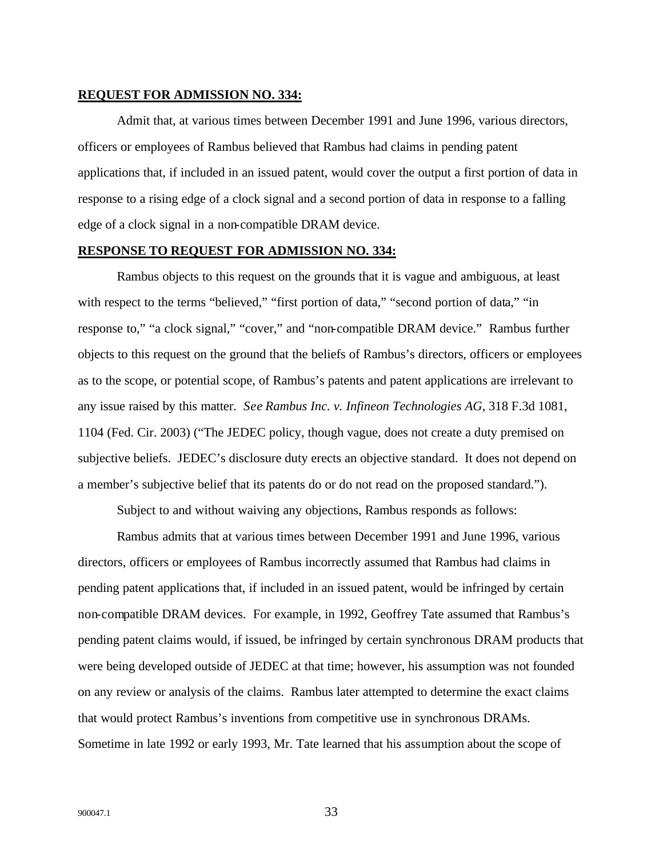## **REQUEST FOR ADMISSION NO. 334:**

Admit that, at various times between December 1991 and June 1996, various directors, officers or employees of Rambus believed that Rambus had claims in pending patent applications that, if included in an issued patent, would cover the output a first portion of data in response to a rising edge of a clock signal and a second portion of data in response to a falling edge of a clock signal in a non-compatible DRAM device.

## **RESPONSE TO REQUEST FOR ADMISSION NO. 334:**

Rambus objects to this request on the grounds that it is vague and ambiguous, at least with respect to the terms "believed," "first portion of data," "second portion of data," "in response to," "a clock signal," "cover," and "non-compatible DRAM device." Rambus further objects to this request on the ground that the beliefs of Rambus's directors, officers or employees as to the scope, or potential scope, of Rambus's patents and patent applications are irrelevant to any issue raised by this matter. *See Rambus Inc. v. Infineon Technologies AG*, 318 F.3d 1081, 1104 (Fed. Cir. 2003) ("The JEDEC policy, though vague, does not create a duty premised on subjective beliefs. JEDEC's disclosure duty erects an objective standard. It does not depend on a member's subjective belief that its patents do or do not read on the proposed standard.").

Subject to and without waiving any objections, Rambus responds as follows:

Rambus admits that at various times between December 1991 and June 1996, various directors, officers or employees of Rambus incorrectly assumed that Rambus had claims in pending patent applications that, if included in an issued patent, would be infringed by certain non-compatible DRAM devices. For example, in 1992, Geoffrey Tate assumed that Rambus's pending patent claims would, if issued, be infringed by certain synchronous DRAM products that were being developed outside of JEDEC at that time; however, his assumption was not founded on any review or analysis of the claims. Rambus later attempted to determine the exact claims that would protect Rambus's inventions from competitive use in synchronous DRAMs. Sometime in late 1992 or early 1993, Mr. Tate learned that his assumption about the scope of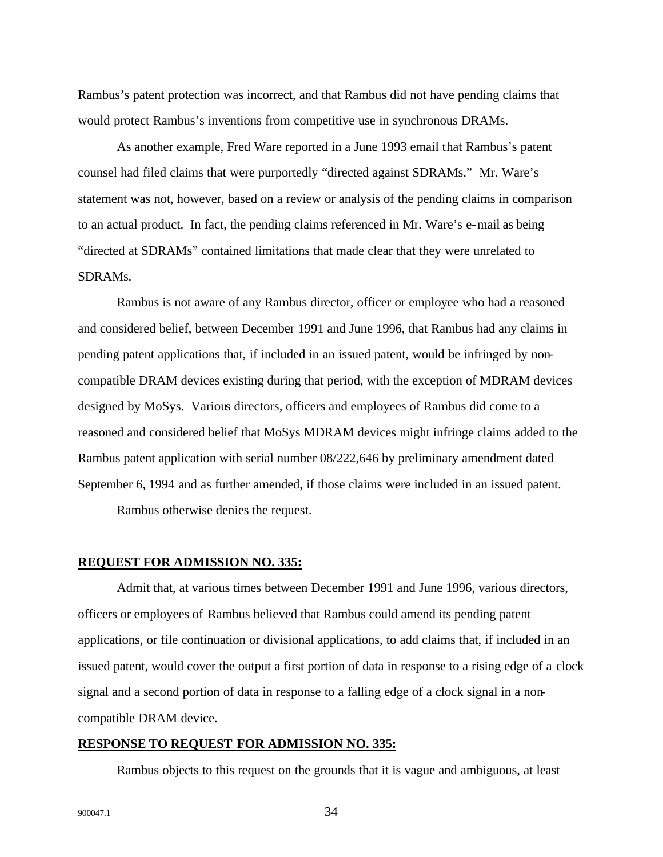Rambus's patent protection was incorrect, and that Rambus did not have pending claims that would protect Rambus's inventions from competitive use in synchronous DRAMs.

As another example, Fred Ware reported in a June 1993 email that Rambus's patent counsel had filed claims that were purportedly "directed against SDRAMs." Mr. Ware's statement was not, however, based on a review or analysis of the pending claims in comparison to an actual product. In fact, the pending claims referenced in Mr. Ware's e-mail as being "directed at SDRAMs" contained limitations that made clear that they were unrelated to SDRAMs.

Rambus is not aware of any Rambus director, officer or employee who had a reasoned and considered belief, between December 1991 and June 1996, that Rambus had any claims in pending patent applications that, if included in an issued patent, would be infringed by noncompatible DRAM devices existing during that period, with the exception of MDRAM devices designed by MoSys. Various directors, officers and employees of Rambus did come to a reasoned and considered belief that MoSys MDRAM devices might infringe claims added to the Rambus patent application with serial number 08/222,646 by preliminary amendment dated September 6, 1994 and as further amended, if those claims were included in an issued patent.

Rambus otherwise denies the request.

#### **REQUEST FOR ADMISSION NO. 335:**

Admit that, at various times between December 1991 and June 1996, various directors, officers or employees of Rambus believed that Rambus could amend its pending patent applications, or file continuation or divisional applications, to add claims that, if included in an issued patent, would cover the output a first portion of data in response to a rising edge of a clock signal and a second portion of data in response to a falling edge of a clock signal in a noncompatible DRAM device.

## **RESPONSE TO REQUEST FOR ADMISSION NO. 335:**

Rambus objects to this request on the grounds that it is vague and ambiguous, at least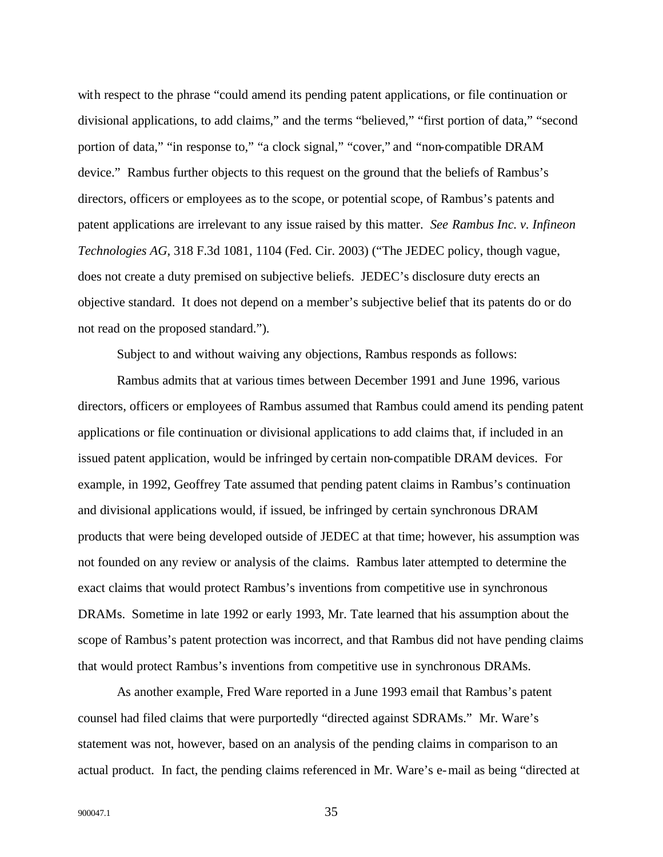with respect to the phrase "could amend its pending patent applications, or file continuation or divisional applications, to add claims," and the terms "believed," "first portion of data," "second portion of data," "in response to," "a clock signal," "cover," and "non-compatible DRAM device." Rambus further objects to this request on the ground that the beliefs of Rambus's directors, officers or employees as to the scope, or potential scope, of Rambus's patents and patent applications are irrelevant to any issue raised by this matter. *See Rambus Inc. v. Infineon Technologies AG*, 318 F.3d 1081, 1104 (Fed. Cir. 2003) ("The JEDEC policy, though vague, does not create a duty premised on subjective beliefs. JEDEC's disclosure duty erects an objective standard. It does not depend on a member's subjective belief that its patents do or do not read on the proposed standard.").

Subject to and without waiving any objections, Rambus responds as follows:

Rambus admits that at various times between December 1991 and June 1996, various directors, officers or employees of Rambus assumed that Rambus could amend its pending patent applications or file continuation or divisional applications to add claims that, if included in an issued patent application, would be infringed by certain non-compatible DRAM devices. For example, in 1992, Geoffrey Tate assumed that pending patent claims in Rambus's continuation and divisional applications would, if issued, be infringed by certain synchronous DRAM products that were being developed outside of JEDEC at that time; however, his assumption was not founded on any review or analysis of the claims. Rambus later attempted to determine the exact claims that would protect Rambus's inventions from competitive use in synchronous DRAMs. Sometime in late 1992 or early 1993, Mr. Tate learned that his assumption about the scope of Rambus's patent protection was incorrect, and that Rambus did not have pending claims that would protect Rambus's inventions from competitive use in synchronous DRAMs.

As another example, Fred Ware reported in a June 1993 email that Rambus's patent counsel had filed claims that were purportedly "directed against SDRAMs." Mr. Ware's statement was not, however, based on an analysis of the pending claims in comparison to an actual product. In fact, the pending claims referenced in Mr. Ware's e-mail as being "directed at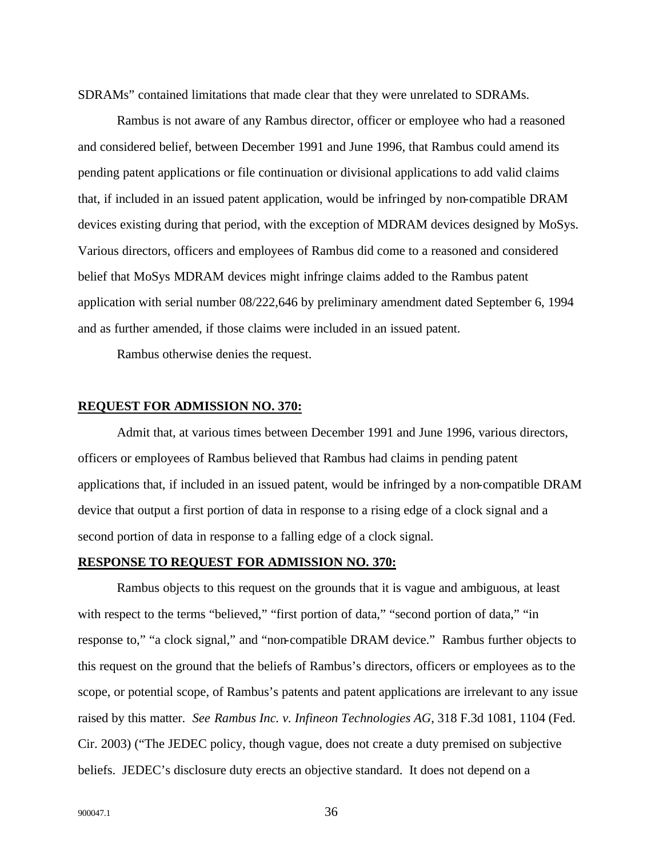SDRAMs" contained limitations that made clear that they were unrelated to SDRAMs.

Rambus is not aware of any Rambus director, officer or employee who had a reasoned and considered belief, between December 1991 and June 1996, that Rambus could amend its pending patent applications or file continuation or divisional applications to add valid claims that, if included in an issued patent application, would be infringed by non-compatible DRAM devices existing during that period, with the exception of MDRAM devices designed by MoSys. Various directors, officers and employees of Rambus did come to a reasoned and considered belief that MoSys MDRAM devices might infringe claims added to the Rambus patent application with serial number 08/222,646 by preliminary amendment dated September 6, 1994 and as further amended, if those claims were included in an issued patent.

Rambus otherwise denies the request.

## **REQUEST FOR ADMISSION NO. 370:**

Admit that, at various times between December 1991 and June 1996, various directors, officers or employees of Rambus believed that Rambus had claims in pending patent applications that, if included in an issued patent, would be infringed by a non-compatible DRAM device that output a first portion of data in response to a rising edge of a clock signal and a second portion of data in response to a falling edge of a clock signal.

## **RESPONSE TO REQUEST FOR ADMISSION NO. 370:**

Rambus objects to this request on the grounds that it is vague and ambiguous, at least with respect to the terms "believed," "first portion of data," "second portion of data," "in response to," "a clock signal," and "non-compatible DRAM device." Rambus further objects to this request on the ground that the beliefs of Rambus's directors, officers or employees as to the scope, or potential scope, of Rambus's patents and patent applications are irrelevant to any issue raised by this matter. *See Rambus Inc. v. Infineon Technologies AG*, 318 F.3d 1081, 1104 (Fed. Cir. 2003) ("The JEDEC policy, though vague, does not create a duty premised on subjective beliefs. JEDEC's disclosure duty erects an objective standard. It does not depend on a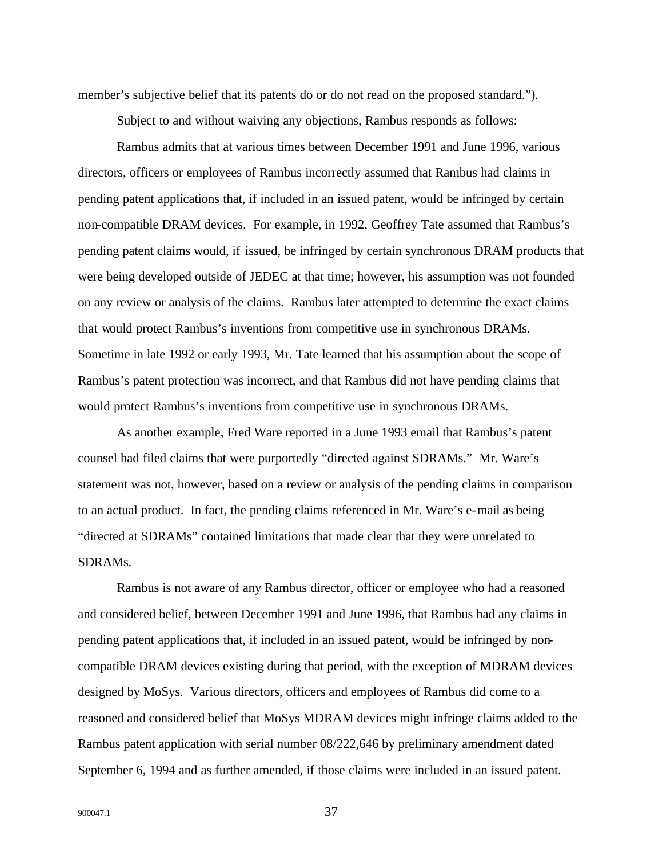member's subjective belief that its patents do or do not read on the proposed standard.").

Subject to and without waiving any objections, Rambus responds as follows:

Rambus admits that at various times between December 1991 and June 1996, various directors, officers or employees of Rambus incorrectly assumed that Rambus had claims in pending patent applications that, if included in an issued patent, would be infringed by certain non-compatible DRAM devices. For example, in 1992, Geoffrey Tate assumed that Rambus's pending patent claims would, if issued, be infringed by certain synchronous DRAM products that were being developed outside of JEDEC at that time; however, his assumption was not founded on any review or analysis of the claims. Rambus later attempted to determine the exact claims that would protect Rambus's inventions from competitive use in synchronous DRAMs. Sometime in late 1992 or early 1993, Mr. Tate learned that his assumption about the scope of Rambus's patent protection was incorrect, and that Rambus did not have pending claims that would protect Rambus's inventions from competitive use in synchronous DRAMs.

As another example, Fred Ware reported in a June 1993 email that Rambus's patent counsel had filed claims that were purportedly "directed against SDRAMs." Mr. Ware's statement was not, however, based on a review or analysis of the pending claims in comparison to an actual product. In fact, the pending claims referenced in Mr. Ware's e-mail as being "directed at SDRAMs" contained limitations that made clear that they were unrelated to SDRAMs.

Rambus is not aware of any Rambus director, officer or employee who had a reasoned and considered belief, between December 1991 and June 1996, that Rambus had any claims in pending patent applications that, if included in an issued patent, would be infringed by noncompatible DRAM devices existing during that period, with the exception of MDRAM devices designed by MoSys. Various directors, officers and employees of Rambus did come to a reasoned and considered belief that MoSys MDRAM devices might infringe claims added to the Rambus patent application with serial number 08/222,646 by preliminary amendment dated September 6, 1994 and as further amended, if those claims were included in an issued patent.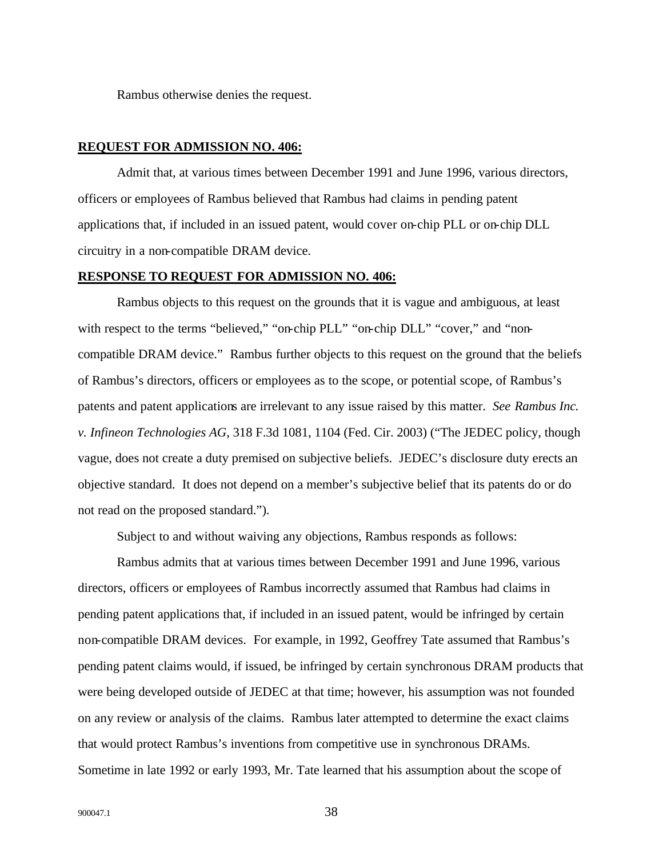Rambus otherwise denies the request.

## **REQUEST FOR ADMISSION NO. 406:**

Admit that, at various times between December 1991 and June 1996, various directors, officers or employees of Rambus believed that Rambus had claims in pending patent applications that, if included in an issued patent, would cover on-chip PLL or on-chip DLL circuitry in a non-compatible DRAM device.

#### **RESPONSE TO REQUEST FOR ADMISSION NO. 406:**

Rambus objects to this request on the grounds that it is vague and ambiguous, at least with respect to the terms "believed," "on-chip PLL" "on-chip DLL" "cover," and "noncompatible DRAM device." Rambus further objects to this request on the ground that the beliefs of Rambus's directors, officers or employees as to the scope, or potential scope, of Rambus's patents and patent applications are irrelevant to any issue raised by this matter. *See Rambus Inc. v. Infineon Technologies AG*, 318 F.3d 1081, 1104 (Fed. Cir. 2003) ("The JEDEC policy, though vague, does not create a duty premised on subjective beliefs. JEDEC's disclosure duty erects an objective standard. It does not depend on a member's subjective belief that its patents do or do not read on the proposed standard.").

Subject to and without waiving any objections, Rambus responds as follows:

Rambus admits that at various times between December 1991 and June 1996, various directors, officers or employees of Rambus incorrectly assumed that Rambus had claims in pending patent applications that, if included in an issued patent, would be infringed by certain non-compatible DRAM devices. For example, in 1992, Geoffrey Tate assumed that Rambus's pending patent claims would, if issued, be infringed by certain synchronous DRAM products that were being developed outside of JEDEC at that time; however, his assumption was not founded on any review or analysis of the claims. Rambus later attempted to determine the exact claims that would protect Rambus's inventions from competitive use in synchronous DRAMs. Sometime in late 1992 or early 1993, Mr. Tate learned that his assumption about the scope of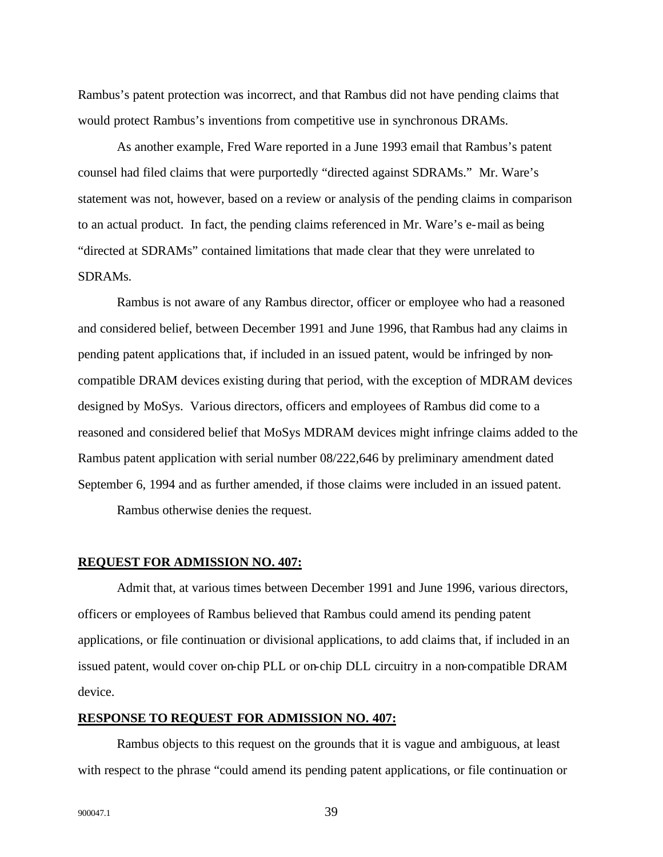Rambus's patent protection was incorrect, and that Rambus did not have pending claims that would protect Rambus's inventions from competitive use in synchronous DRAMs.

As another example, Fred Ware reported in a June 1993 email that Rambus's patent counsel had filed claims that were purportedly "directed against SDRAMs." Mr. Ware's statement was not, however, based on a review or analysis of the pending claims in comparison to an actual product. In fact, the pending claims referenced in Mr. Ware's e-mail as being "directed at SDRAMs" contained limitations that made clear that they were unrelated to SDRAMs.

Rambus is not aware of any Rambus director, officer or employee who had a reasoned and considered belief, between December 1991 and June 1996, that Rambus had any claims in pending patent applications that, if included in an issued patent, would be infringed by noncompatible DRAM devices existing during that period, with the exception of MDRAM devices designed by MoSys. Various directors, officers and employees of Rambus did come to a reasoned and considered belief that MoSys MDRAM devices might infringe claims added to the Rambus patent application with serial number 08/222,646 by preliminary amendment dated September 6, 1994 and as further amended, if those claims were included in an issued patent.

Rambus otherwise denies the request.

#### **REQUEST FOR ADMISSION NO. 407:**

Admit that, at various times between December 1991 and June 1996, various directors, officers or employees of Rambus believed that Rambus could amend its pending patent applications, or file continuation or divisional applications, to add claims that, if included in an issued patent, would cover on-chip PLL or on-chip DLL circuitry in a non-compatible DRAM device.

## **RESPONSE TO REQUEST FOR ADMISSION NO. 407:**

Rambus objects to this request on the grounds that it is vague and ambiguous, at least with respect to the phrase "could amend its pending patent applications, or file continuation or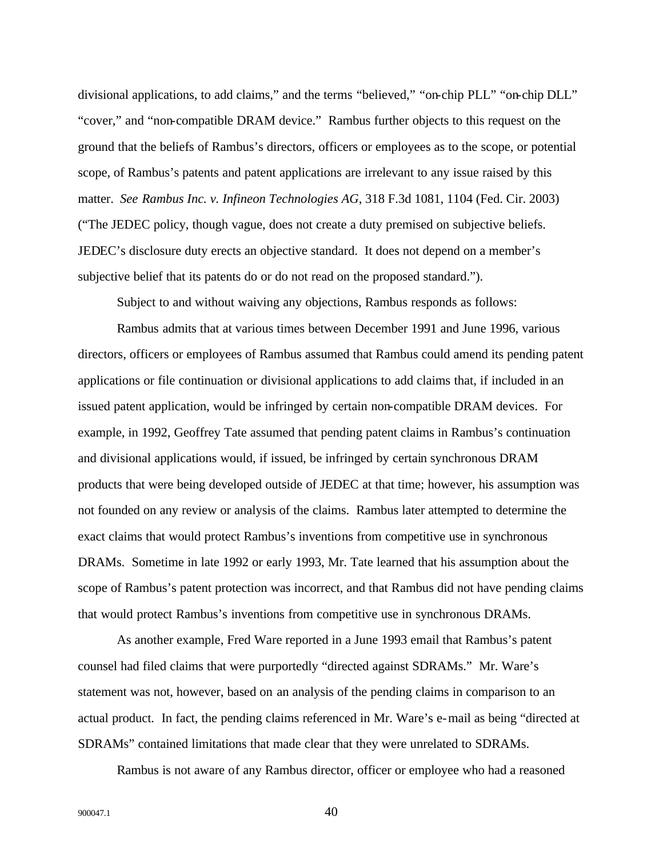divisional applications, to add claims," and the terms "believed," "on-chip PLL" "on-chip DLL" "cover," and "non-compatible DRAM device." Rambus further objects to this request on the ground that the beliefs of Rambus's directors, officers or employees as to the scope, or potential scope, of Rambus's patents and patent applications are irrelevant to any issue raised by this matter. *See Rambus Inc. v. Infineon Technologies AG*, 318 F.3d 1081, 1104 (Fed. Cir. 2003) ("The JEDEC policy, though vague, does not create a duty premised on subjective beliefs. JEDEC's disclosure duty erects an objective standard. It does not depend on a member's subjective belief that its patents do or do not read on the proposed standard.").

Subject to and without waiving any objections, Rambus responds as follows:

Rambus admits that at various times between December 1991 and June 1996, various directors, officers or employees of Rambus assumed that Rambus could amend its pending patent applications or file continuation or divisional applications to add claims that, if included in an issued patent application, would be infringed by certain non-compatible DRAM devices. For example, in 1992, Geoffrey Tate assumed that pending patent claims in Rambus's continuation and divisional applications would, if issued, be infringed by certain synchronous DRAM products that were being developed outside of JEDEC at that time; however, his assumption was not founded on any review or analysis of the claims. Rambus later attempted to determine the exact claims that would protect Rambus's inventions from competitive use in synchronous DRAMs. Sometime in late 1992 or early 1993, Mr. Tate learned that his assumption about the scope of Rambus's patent protection was incorrect, and that Rambus did not have pending claims that would protect Rambus's inventions from competitive use in synchronous DRAMs.

As another example, Fred Ware reported in a June 1993 email that Rambus's patent counsel had filed claims that were purportedly "directed against SDRAMs." Mr. Ware's statement was not, however, based on an analysis of the pending claims in comparison to an actual product. In fact, the pending claims referenced in Mr. Ware's e-mail as being "directed at SDRAMs" contained limitations that made clear that they were unrelated to SDRAMs.

Rambus is not aware of any Rambus director, officer or employee who had a reasoned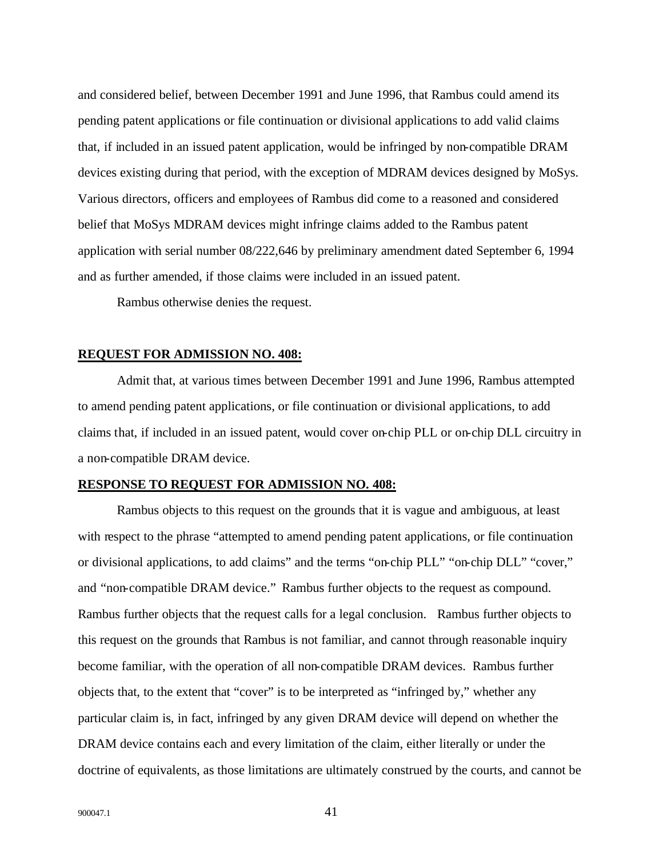and considered belief, between December 1991 and June 1996, that Rambus could amend its pending patent applications or file continuation or divisional applications to add valid claims that, if included in an issued patent application, would be infringed by non-compatible DRAM devices existing during that period, with the exception of MDRAM devices designed by MoSys. Various directors, officers and employees of Rambus did come to a reasoned and considered belief that MoSys MDRAM devices might infringe claims added to the Rambus patent application with serial number 08/222,646 by preliminary amendment dated September 6, 1994 and as further amended, if those claims were included in an issued patent.

Rambus otherwise denies the request.

#### **REQUEST FOR ADMISSION NO. 408:**

Admit that, at various times between December 1991 and June 1996, Rambus attempted to amend pending patent applications, or file continuation or divisional applications, to add claims that, if included in an issued patent, would cover on-chip PLL or on-chip DLL circuitry in a non-compatible DRAM device.

## **RESPONSE TO REQUEST FOR ADMISSION NO. 408:**

Rambus objects to this request on the grounds that it is vague and ambiguous, at least with respect to the phrase "attempted to amend pending patent applications, or file continuation or divisional applications, to add claims" and the terms "on-chip PLL" "on-chip DLL" "cover," and "non-compatible DRAM device." Rambus further objects to the request as compound. Rambus further objects that the request calls for a legal conclusion. Rambus further objects to this request on the grounds that Rambus is not familiar, and cannot through reasonable inquiry become familiar, with the operation of all non-compatible DRAM devices. Rambus further objects that, to the extent that "cover" is to be interpreted as "infringed by," whether any particular claim is, in fact, infringed by any given DRAM device will depend on whether the DRAM device contains each and every limitation of the claim, either literally or under the doctrine of equivalents, as those limitations are ultimately construed by the courts, and cannot be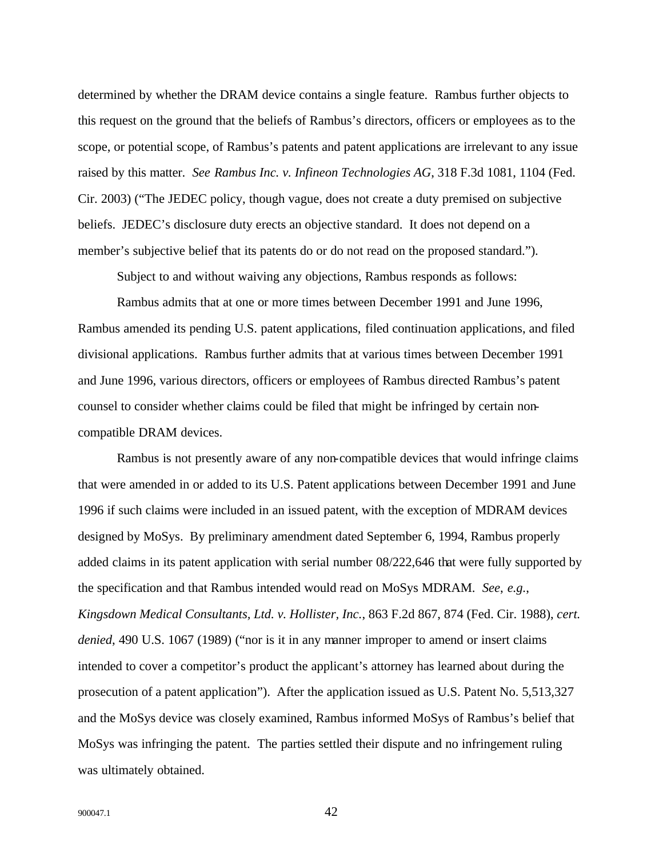determined by whether the DRAM device contains a single feature. Rambus further objects to this request on the ground that the beliefs of Rambus's directors, officers or employees as to the scope, or potential scope, of Rambus's patents and patent applications are irrelevant to any issue raised by this matter. *See Rambus Inc. v. Infineon Technologies AG*, 318 F.3d 1081, 1104 (Fed. Cir. 2003) ("The JEDEC policy, though vague, does not create a duty premised on subjective beliefs. JEDEC's disclosure duty erects an objective standard. It does not depend on a member's subjective belief that its patents do or do not read on the proposed standard.").

Subject to and without waiving any objections, Rambus responds as follows:

Rambus admits that at one or more times between December 1991 and June 1996, Rambus amended its pending U.S. patent applications, filed continuation applications, and filed divisional applications. Rambus further admits that at various times between December 1991 and June 1996, various directors, officers or employees of Rambus directed Rambus's patent counsel to consider whether claims could be filed that might be infringed by certain noncompatible DRAM devices.

Rambus is not presently aware of any non-compatible devices that would infringe claims that were amended in or added to its U.S. Patent applications between December 1991 and June 1996 if such claims were included in an issued patent, with the exception of MDRAM devices designed by MoSys. By preliminary amendment dated September 6, 1994, Rambus properly added claims in its patent application with serial number 08/222,646 that were fully supported by the specification and that Rambus intended would read on MoSys MDRAM. *See*, *e.g.*, *Kingsdown Medical Consultants, Ltd. v. Hollister, Inc.*, 863 F.2d 867, 874 (Fed. Cir. 1988), *cert. denied*, 490 U.S. 1067 (1989) ("nor is it in any manner improper to amend or insert claims intended to cover a competitor's product the applicant's attorney has learned about during the prosecution of a patent application"). After the application issued as U.S. Patent No. 5,513,327 and the MoSys device was closely examined, Rambus informed MoSys of Rambus's belief that MoSys was infringing the patent. The parties settled their dispute and no infringement ruling was ultimately obtained.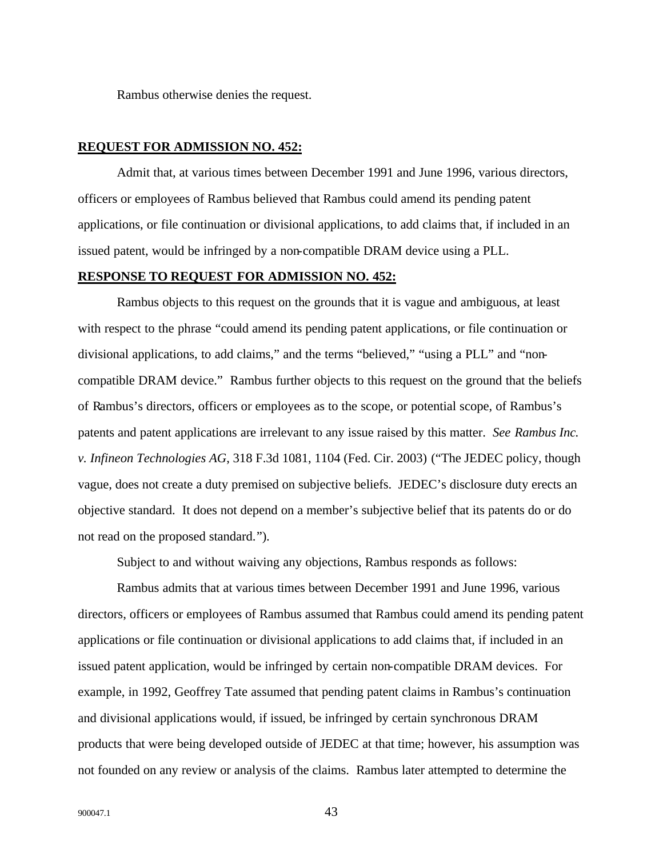Rambus otherwise denies the request.

## **REQUEST FOR ADMISSION NO. 452:**

Admit that, at various times between December 1991 and June 1996, various directors, officers or employees of Rambus believed that Rambus could amend its pending patent applications, or file continuation or divisional applications, to add claims that, if included in an issued patent, would be infringed by a non-compatible DRAM device using a PLL.

#### **RESPONSE TO REQUEST FOR ADMISSION NO. 452:**

Rambus objects to this request on the grounds that it is vague and ambiguous, at least with respect to the phrase "could amend its pending patent applications, or file continuation or divisional applications, to add claims," and the terms "believed," "using a PLL" and "noncompatible DRAM device." Rambus further objects to this request on the ground that the beliefs of Rambus's directors, officers or employees as to the scope, or potential scope, of Rambus's patents and patent applications are irrelevant to any issue raised by this matter. *See Rambus Inc. v. Infineon Technologies AG*, 318 F.3d 1081, 1104 (Fed. Cir. 2003) ("The JEDEC policy, though vague, does not create a duty premised on subjective beliefs. JEDEC's disclosure duty erects an objective standard. It does not depend on a member's subjective belief that its patents do or do not read on the proposed standard.").

Subject to and without waiving any objections, Rambus responds as follows:

Rambus admits that at various times between December 1991 and June 1996, various directors, officers or employees of Rambus assumed that Rambus could amend its pending patent applications or file continuation or divisional applications to add claims that, if included in an issued patent application, would be infringed by certain non-compatible DRAM devices. For example, in 1992, Geoffrey Tate assumed that pending patent claims in Rambus's continuation and divisional applications would, if issued, be infringed by certain synchronous DRAM products that were being developed outside of JEDEC at that time; however, his assumption was not founded on any review or analysis of the claims. Rambus later attempted to determine the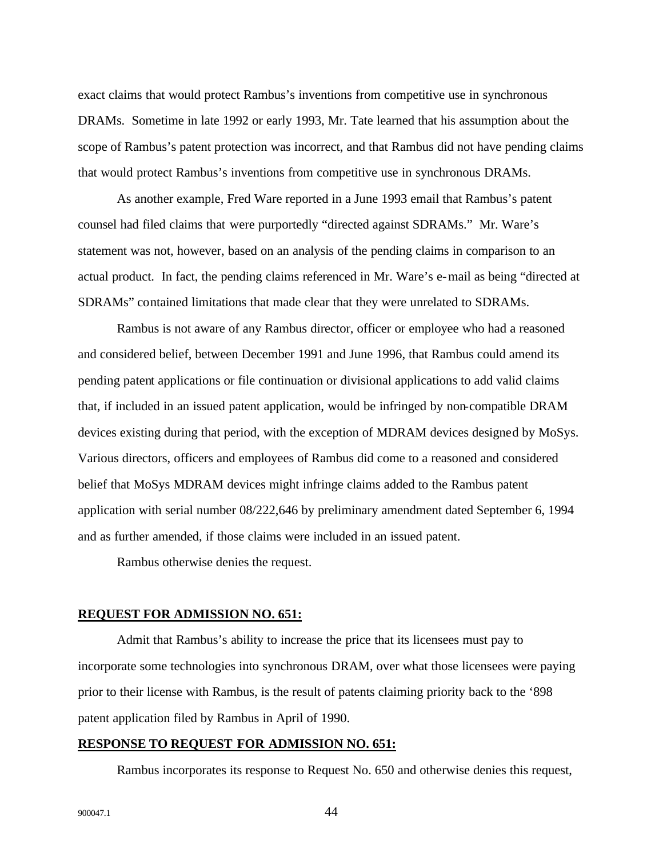exact claims that would protect Rambus's inventions from competitive use in synchronous DRAMs. Sometime in late 1992 or early 1993, Mr. Tate learned that his assumption about the scope of Rambus's patent protection was incorrect, and that Rambus did not have pending claims that would protect Rambus's inventions from competitive use in synchronous DRAMs.

As another example, Fred Ware reported in a June 1993 email that Rambus's patent counsel had filed claims that were purportedly "directed against SDRAMs." Mr. Ware's statement was not, however, based on an analysis of the pending claims in comparison to an actual product. In fact, the pending claims referenced in Mr. Ware's e-mail as being "directed at SDRAMs" contained limitations that made clear that they were unrelated to SDRAMs.

Rambus is not aware of any Rambus director, officer or employee who had a reasoned and considered belief, between December 1991 and June 1996, that Rambus could amend its pending patent applications or file continuation or divisional applications to add valid claims that, if included in an issued patent application, would be infringed by non-compatible DRAM devices existing during that period, with the exception of MDRAM devices designed by MoSys. Various directors, officers and employees of Rambus did come to a reasoned and considered belief that MoSys MDRAM devices might infringe claims added to the Rambus patent application with serial number 08/222,646 by preliminary amendment dated September 6, 1994 and as further amended, if those claims were included in an issued patent.

Rambus otherwise denies the request.

### **REQUEST FOR ADMISSION NO. 651:**

Admit that Rambus's ability to increase the price that its licensees must pay to incorporate some technologies into synchronous DRAM, over what those licensees were paying prior to their license with Rambus, is the result of patents claiming priority back to the '898 patent application filed by Rambus in April of 1990.

## **RESPONSE TO REQUEST FOR ADMISSION NO. 651:**

Rambus incorporates its response to Request No. 650 and otherwise denies this request,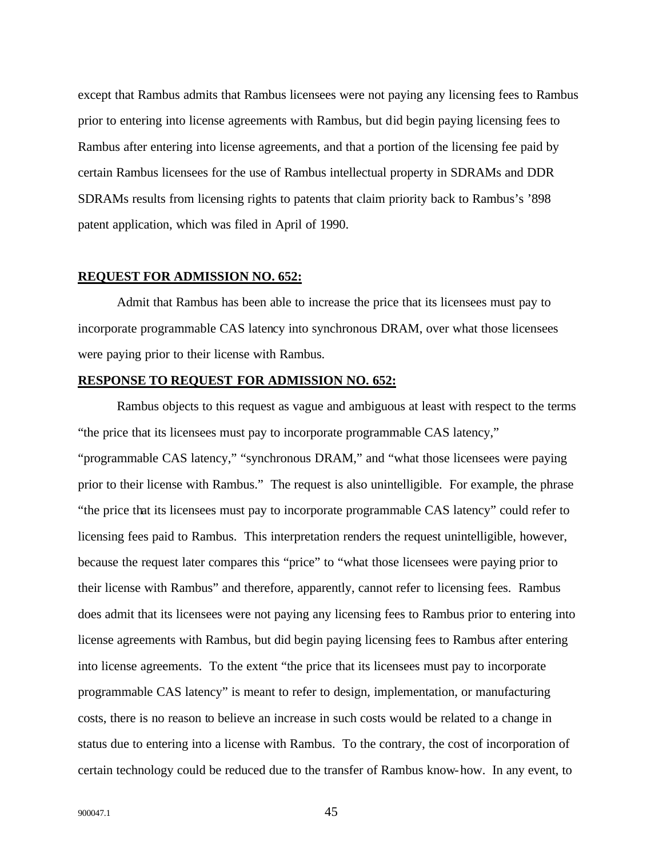except that Rambus admits that Rambus licensees were not paying any licensing fees to Rambus prior to entering into license agreements with Rambus, but did begin paying licensing fees to Rambus after entering into license agreements, and that a portion of the licensing fee paid by certain Rambus licensees for the use of Rambus intellectual property in SDRAMs and DDR SDRAMs results from licensing rights to patents that claim priority back to Rambus's '898 patent application, which was filed in April of 1990.

#### **REQUEST FOR ADMISSION NO. 652:**

Admit that Rambus has been able to increase the price that its licensees must pay to incorporate programmable CAS latency into synchronous DRAM, over what those licensees were paying prior to their license with Rambus.

## **RESPONSE TO REQUEST FOR ADMISSION NO. 652:**

Rambus objects to this request as vague and ambiguous at least with respect to the terms "the price that its licensees must pay to incorporate programmable CAS latency," "programmable CAS latency," "synchronous DRAM," and "what those licensees were paying prior to their license with Rambus." The request is also unintelligible. For example, the phrase "the price that its licensees must pay to incorporate programmable CAS latency" could refer to licensing fees paid to Rambus. This interpretation renders the request unintelligible, however, because the request later compares this "price" to "what those licensees were paying prior to their license with Rambus" and therefore, apparently, cannot refer to licensing fees. Rambus does admit that its licensees were not paying any licensing fees to Rambus prior to entering into license agreements with Rambus, but did begin paying licensing fees to Rambus after entering into license agreements. To the extent "the price that its licensees must pay to incorporate programmable CAS latency" is meant to refer to design, implementation, or manufacturing costs, there is no reason to believe an increase in such costs would be related to a change in status due to entering into a license with Rambus. To the contrary, the cost of incorporation of certain technology could be reduced due to the transfer of Rambus know-how. In any event, to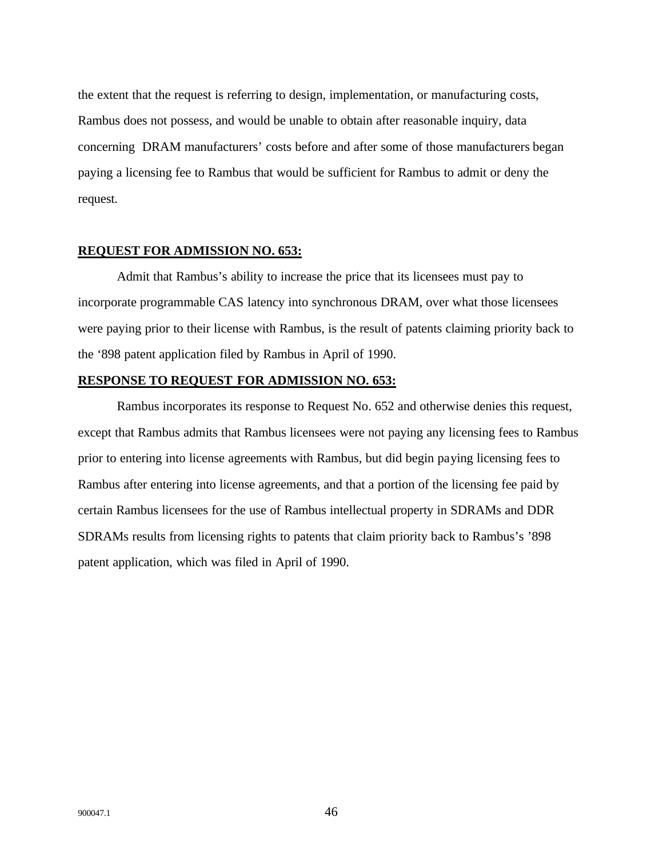the extent that the request is referring to design, implementation, or manufacturing costs, Rambus does not possess, and would be unable to obtain after reasonable inquiry, data concerning DRAM manufacturers' costs before and after some of those manufacturers began paying a licensing fee to Rambus that would be sufficient for Rambus to admit or deny the request.

## **REQUEST FOR ADMISSION NO. 653:**

Admit that Rambus's ability to increase the price that its licensees must pay to incorporate programmable CAS latency into synchronous DRAM, over what those licensees were paying prior to their license with Rambus, is the result of patents claiming priority back to the '898 patent application filed by Rambus in April of 1990.

## **RESPONSE TO REQUEST FOR ADMISSION NO. 653:**

Rambus incorporates its response to Request No. 652 and otherwise denies this request, except that Rambus admits that Rambus licensees were not paying any licensing fees to Rambus prior to entering into license agreements with Rambus, but did begin paying licensing fees to Rambus after entering into license agreements, and that a portion of the licensing fee paid by certain Rambus licensees for the use of Rambus intellectual property in SDRAMs and DDR SDRAMs results from licensing rights to patents that claim priority back to Rambus's '898 patent application, which was filed in April of 1990.